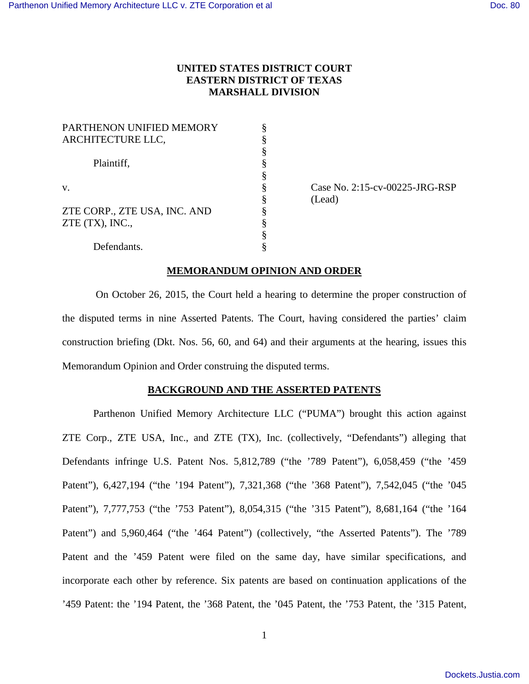# **UNITED STATES DISTRICT COURT EASTERN DISTRICT OF TEXAS MARSHALL DIVISION**

| PARTHENON UNIFIED MEMORY     |  |
|------------------------------|--|
| ARCHITECTURE LLC,            |  |
|                              |  |
| Plaintiff,                   |  |
|                              |  |
| V.                           |  |
|                              |  |
| ZTE CORP., ZTE USA, INC. AND |  |
| ZTE (TX), INC.,              |  |
|                              |  |
| Defendants.                  |  |

 $\S$  Case No. 2:15-cv-00225-JRG-RSP § (Lead)

## **MEMORANDUM OPINION AND ORDER**

On October 26, 2015, the Court held a hearing to determine the proper construction of the disputed terms in nine Asserted Patents. The Court, having considered the parties' claim construction briefing (Dkt. Nos. 56, 60, and 64) and their arguments at the hearing, issues this Memorandum Opinion and Order construing the disputed terms.

### **BACKGROUND AND THE ASSERTED PATENTS**

Parthenon Unified Memory Architecture LLC ("PUMA") brought this action against ZTE Corp., ZTE USA, Inc., and ZTE (TX), Inc. (collectively, "Defendants") alleging that Defendants infringe U.S. Patent Nos. 5,812,789 ("the '789 Patent"), 6,058,459 ("the '459 Patent"), 6,427,194 ("the '194 Patent"), 7,321,368 ("the '368 Patent"), 7,542,045 ("the '045 Patent"), 7,777,753 ("the '753 Patent"), 8,054,315 ("the '315 Patent"), 8,681,164 ("the '164 Patent") and 5,960,464 ("the '464 Patent") (collectively, "the Asserted Patents"). The '789 Patent and the '459 Patent were filed on the same day, have similar specifications, and incorporate each other by reference. Six patents are based on continuation applications of the '459 Patent: the '194 Patent, the '368 Patent, the '045 Patent, the '753 Patent, the '315 Patent,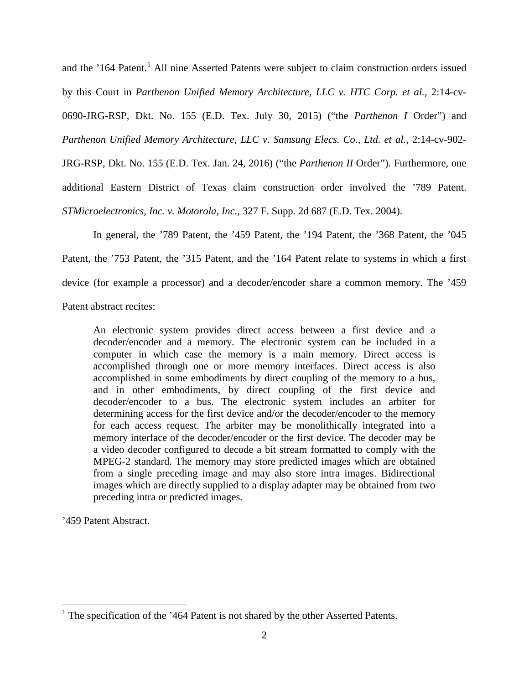and the '[1](#page-1-0)64 Patent.<sup>1</sup> All nine Asserted Patents were subject to claim construction orders issued by this Court in *Parthenon Unified Memory Architecture, LLC v. HTC Corp. et al.*, 2:14-cv-0690-JRG-RSP, Dkt. No. 155 (E.D. Tex. July 30, 2015) ("the *Parthenon I* Order") and *Parthenon Unified Memory Architecture, LLC v. Samsung Elecs. Co., Ltd. et al.*, 2:14-cv-902- JRG-RSP, Dkt. No. 155 (E.D. Tex. Jan. 24, 2016) ("the *Parthenon II* Order"). Furthermore, one

additional Eastern District of Texas claim construction order involved the '789 Patent.

*STMicroelectronics, Inc. v. Motorola, Inc.*, 327 F. Supp. 2d 687 (E.D. Tex. 2004).

In general, the '789 Patent, the '459 Patent, the '194 Patent, the '368 Patent, the '045 Patent, the '753 Patent, the '315 Patent, and the '164 Patent relate to systems in which a first device (for example a processor) and a decoder/encoder share a common memory. The '459 Patent abstract recites:

An electronic system provides direct access between a first device and a decoder/encoder and a memory. The electronic system can be included in a computer in which case the memory is a main memory. Direct access is accomplished through one or more memory interfaces. Direct access is also accomplished in some embodiments by direct coupling of the memory to a bus, and in other embodiments, by direct coupling of the first device and decoder/encoder to a bus. The electronic system includes an arbiter for determining access for the first device and/or the decoder/encoder to the memory for each access request. The arbiter may be monolithically integrated into a memory interface of the decoder/encoder or the first device. The decoder may be a video decoder configured to decode a bit stream formatted to comply with the MPEG-2 standard. The memory may store predicted images which are obtained from a single preceding image and may also store intra images. Bidirectional images which are directly supplied to a display adapter may be obtained from two preceding intra or predicted images.

'459 Patent Abstract.

 $\overline{a}$ 

<span id="page-1-0"></span><sup>&</sup>lt;sup>1</sup> The specification of the '464 Patent is not shared by the other Asserted Patents.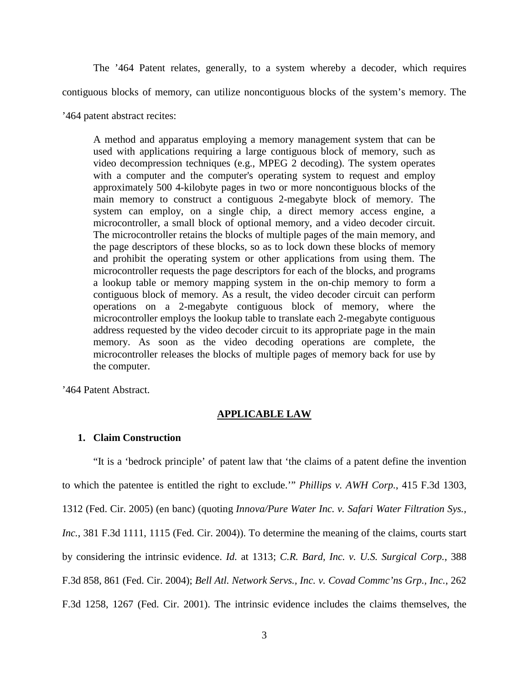The '464 Patent relates, generally, to a system whereby a decoder, which requires contiguous blocks of memory, can utilize noncontiguous blocks of the system's memory. The

'464 patent abstract recites:

A method and apparatus employing a memory management system that can be used with applications requiring a large contiguous block of memory, such as video decompression techniques (e.g., MPEG 2 decoding). The system operates with a computer and the computer's operating system to request and employ approximately 500 4-kilobyte pages in two or more noncontiguous blocks of the main memory to construct a contiguous 2-megabyte block of memory. The system can employ, on a single chip, a direct memory access engine, a microcontroller, a small block of optional memory, and a video decoder circuit. The microcontroller retains the blocks of multiple pages of the main memory, and the page descriptors of these blocks, so as to lock down these blocks of memory and prohibit the operating system or other applications from using them. The microcontroller requests the page descriptors for each of the blocks, and programs a lookup table or memory mapping system in the on-chip memory to form a contiguous block of memory. As a result, the video decoder circuit can perform operations on a 2-megabyte contiguous block of memory, where the microcontroller employs the lookup table to translate each 2-megabyte contiguous address requested by the video decoder circuit to its appropriate page in the main memory. As soon as the video decoding operations are complete, the microcontroller releases the blocks of multiple pages of memory back for use by the computer.

'464 Patent Abstract.

### **APPLICABLE LAW**

#### **1. Claim Construction**

"It is a 'bedrock principle' of patent law that 'the claims of a patent define the invention to which the patentee is entitled the right to exclude.'" *Phillips v. AWH Corp.*, 415 F.3d 1303, 1312 (Fed. Cir. 2005) (en banc) (quoting *Innova/Pure Water Inc. v. Safari Water Filtration Sys., Inc.*, 381 F.3d 1111, 1115 (Fed. Cir. 2004)). To determine the meaning of the claims, courts start by considering the intrinsic evidence. *Id.* at 1313; *C.R. Bard, Inc. v. U.S. Surgical Corp.*, 388 F.3d 858, 861 (Fed. Cir. 2004); *Bell Atl. Network Servs., Inc. v. Covad Commc'ns Grp., Inc.*, 262 F.3d 1258, 1267 (Fed. Cir. 2001). The intrinsic evidence includes the claims themselves, the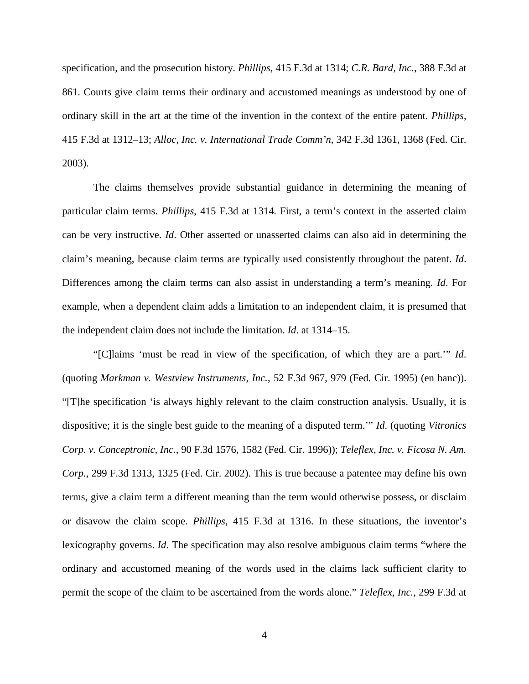specification, and the prosecution history. *Phillips*, 415 F.3d at 1314; *C.R. Bard, Inc.*, 388 F.3d at 861. Courts give claim terms their ordinary and accustomed meanings as understood by one of ordinary skill in the art at the time of the invention in the context of the entire patent. *Phillips*, 415 F.3d at 1312–13; *Alloc, Inc. v. International Trade Comm'n*, 342 F.3d 1361, 1368 (Fed. Cir. 2003).

The claims themselves provide substantial guidance in determining the meaning of particular claim terms. *Phillips*, 415 F.3d at 1314. First, a term's context in the asserted claim can be very instructive. *Id*. Other asserted or unasserted claims can also aid in determining the claim's meaning, because claim terms are typically used consistently throughout the patent. *Id*. Differences among the claim terms can also assist in understanding a term's meaning. *Id*. For example, when a dependent claim adds a limitation to an independent claim, it is presumed that the independent claim does not include the limitation. *Id*. at 1314–15.

"[C]laims 'must be read in view of the specification, of which they are a part.'" *Id*. (quoting *Markman v. Westview Instruments, Inc.*, 52 F.3d 967, 979 (Fed. Cir. 1995) (en banc)). "[T]he specification 'is always highly relevant to the claim construction analysis. Usually, it is dispositive; it is the single best guide to the meaning of a disputed term.'" *Id*. (quoting *Vitronics Corp. v. Conceptronic, Inc.*, 90 F.3d 1576, 1582 (Fed. Cir. 1996)); *Teleflex, Inc. v. Ficosa N. Am. Corp.*, 299 F.3d 1313, 1325 (Fed. Cir. 2002). This is true because a patentee may define his own terms, give a claim term a different meaning than the term would otherwise possess, or disclaim or disavow the claim scope. *Phillips*, 415 F.3d at 1316. In these situations, the inventor's lexicography governs. *Id*. The specification may also resolve ambiguous claim terms "where the ordinary and accustomed meaning of the words used in the claims lack sufficient clarity to permit the scope of the claim to be ascertained from the words alone." *Teleflex, Inc.*, 299 F.3d at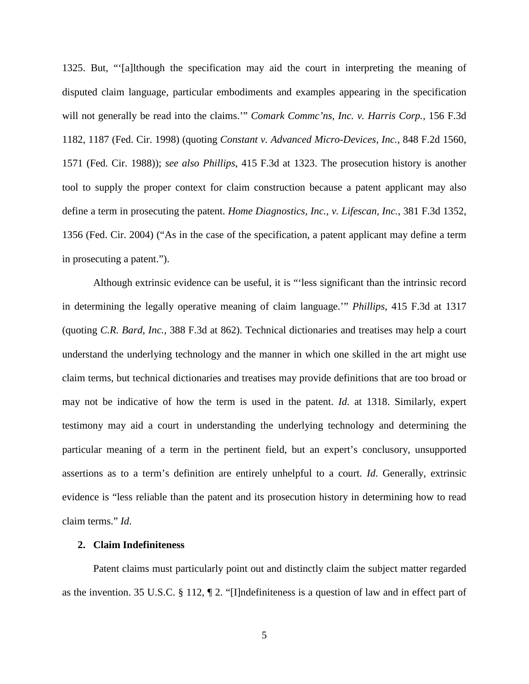1325. But, "'[a]lthough the specification may aid the court in interpreting the meaning of disputed claim language, particular embodiments and examples appearing in the specification will not generally be read into the claims.'" *Comark Commc'ns, Inc. v. Harris Corp.*, 156 F.3d 1182, 1187 (Fed. Cir. 1998) (quoting *Constant v. Advanced Micro-Devices, Inc.*, 848 F.2d 1560, 1571 (Fed. Cir. 1988)); *see also Phillips*, 415 F.3d at 1323. The prosecution history is another tool to supply the proper context for claim construction because a patent applicant may also define a term in prosecuting the patent. *Home Diagnostics, Inc., v. Lifescan, Inc.*, 381 F.3d 1352, 1356 (Fed. Cir. 2004) ("As in the case of the specification, a patent applicant may define a term in prosecuting a patent.").

Although extrinsic evidence can be useful, it is "'less significant than the intrinsic record in determining the legally operative meaning of claim language.'" *Phillips*, 415 F.3d at 1317 (quoting *C.R. Bard, Inc.*, 388 F.3d at 862). Technical dictionaries and treatises may help a court understand the underlying technology and the manner in which one skilled in the art might use claim terms, but technical dictionaries and treatises may provide definitions that are too broad or may not be indicative of how the term is used in the patent. *Id*. at 1318. Similarly, expert testimony may aid a court in understanding the underlying technology and determining the particular meaning of a term in the pertinent field, but an expert's conclusory, unsupported assertions as to a term's definition are entirely unhelpful to a court. *Id*. Generally, extrinsic evidence is "less reliable than the patent and its prosecution history in determining how to read claim terms." *Id*.

## **2. Claim Indefiniteness**

Patent claims must particularly point out and distinctly claim the subject matter regarded as the invention. 35 U.S.C. § 112, ¶ 2. "[I]ndefiniteness is a question of law and in effect part of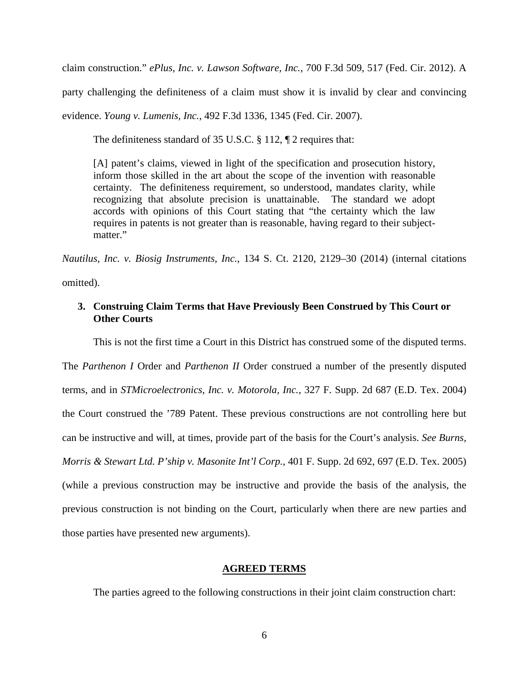claim construction." *ePlus, Inc. v. Lawson Software, Inc.*, 700 F.3d 509, 517 (Fed. Cir. 2012). A

party challenging the definiteness of a claim must show it is invalid by clear and convincing

evidence. *Young v. Lumenis, Inc.*, 492 F.3d 1336, 1345 (Fed. Cir. 2007).

The definiteness standard of 35 U.S.C. § 112, ¶ 2 requires that:

[A] patent's claims, viewed in light of the specification and prosecution history, inform those skilled in the art about the scope of the invention with reasonable certainty. The definiteness requirement, so understood, mandates clarity, while recognizing that absolute precision is unattainable. The standard we adopt accords with opinions of this Court stating that "the certainty which the law requires in patents is not greater than is reasonable, having regard to their subjectmatter."

*Nautilus, Inc. v. Biosig Instruments, Inc.*, 134 S. Ct. 2120, 2129–30 (2014) (internal citations

omitted).

## **3. Construing Claim Terms that Have Previously Been Construed by This Court or Other Courts**

This is not the first time a Court in this District has construed some of the disputed terms.

The *Parthenon I* Order and *Parthenon II* Order construed a number of the presently disputed terms, and in *STMicroelectronics, Inc. v. Motorola, Inc.*, 327 F. Supp. 2d 687 (E.D. Tex. 2004) the Court construed the '789 Patent. These previous constructions are not controlling here but can be instructive and will, at times, provide part of the basis for the Court's analysis. *See Burns, Morris & Stewart Ltd. P'ship v. Masonite Int'l Corp.*, 401 F. Supp. 2d 692, 697 (E.D. Tex. 2005) (while a previous construction may be instructive and provide the basis of the analysis, the previous construction is not binding on the Court, particularly when there are new parties and those parties have presented new arguments).

#### **AGREED TERMS**

The parties agreed to the following constructions in their joint claim construction chart: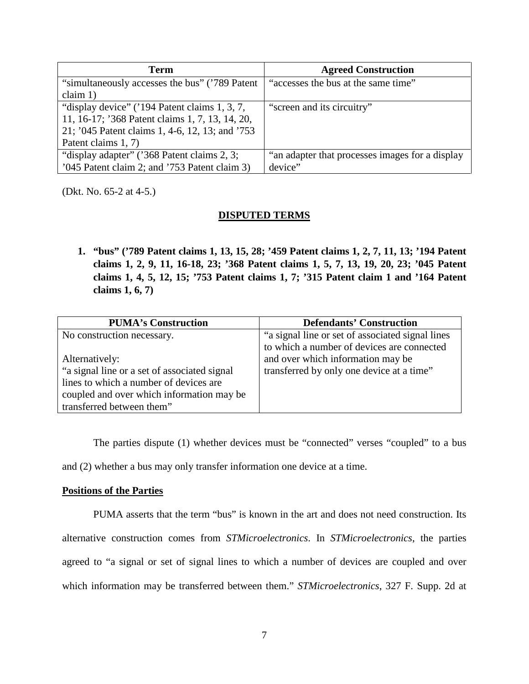| Term                                            | <b>Agreed Construction</b>                      |
|-------------------------------------------------|-------------------------------------------------|
| "simultaneously accesses the bus" ('789 Patent' | "accesses the bus at the same time"             |
| claim $1$ )                                     |                                                 |
| "display device" ('194 Patent claims 1, 3, 7,   | "screen and its circuitry"                      |
| 11, 16-17; '368 Patent claims 1, 7, 13, 14, 20, |                                                 |
| 21; '045 Patent claims 1, 4-6, 12, 13; and '753 |                                                 |
| Patent claims 1, 7)                             |                                                 |
| "display adapter" ('368 Patent claims 2, 3;     | "an adapter that processes images for a display |
| '045 Patent claim 2; and '753 Patent claim 3)   | device"                                         |

(Dkt. No. 65-2 at 4-5.)

## **DISPUTED TERMS**

**1. "bus" ('789 Patent claims 1, 13, 15, 28; '459 Patent claims 1, 2, 7, 11, 13; '194 Patent claims 1, 2, 9, 11, 16-18, 23; '368 Patent claims 1, 5, 7, 13, 19, 20, 23; '045 Patent claims 1, 4, 5, 12, 15; '753 Patent claims 1, 7; '315 Patent claim 1 and '164 Patent claims 1, 6, 7)** 

| <b>PUMA's Construction</b>                    | <b>Defendants' Construction</b>                   |
|-----------------------------------------------|---------------------------------------------------|
| No construction necessary.                    | "a signal line or set of associated signal lines" |
|                                               | to which a number of devices are connected        |
| Alternatively:                                | and over which information may be                 |
| "a signal line or a set of associated signal" | transferred by only one device at a time"         |
| lines to which a number of devices are        |                                                   |
| coupled and over which information may be     |                                                   |
| transferred between them"                     |                                                   |

The parties dispute (1) whether devices must be "connected" verses "coupled" to a bus and (2) whether a bus may only transfer information one device at a time.

## **Positions of the Parties**

PUMA asserts that the term "bus" is known in the art and does not need construction. Its alternative construction comes from *STMicroelectronics*. In *STMicroelectronics*, the parties agreed to "a signal or set of signal lines to which a number of devices are coupled and over which information may be transferred between them." *STMicroelectronics*, 327 F. Supp. 2d at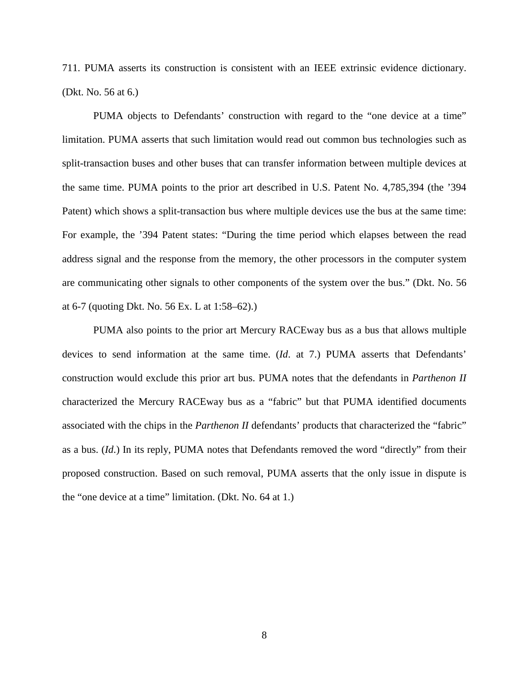711. PUMA asserts its construction is consistent with an IEEE extrinsic evidence dictionary. (Dkt. No. 56 at 6.)

PUMA objects to Defendants' construction with regard to the "one device at a time" limitation. PUMA asserts that such limitation would read out common bus technologies such as split-transaction buses and other buses that can transfer information between multiple devices at the same time. PUMA points to the prior art described in U.S. Patent No. 4,785,394 (the '394 Patent) which shows a split-transaction bus where multiple devices use the bus at the same time: For example, the '394 Patent states: "During the time period which elapses between the read address signal and the response from the memory, the other processors in the computer system are communicating other signals to other components of the system over the bus." (Dkt. No. 56 at 6-7 (quoting Dkt. No. 56 Ex. L at 1:58–62).)

PUMA also points to the prior art Mercury RACEway bus as a bus that allows multiple devices to send information at the same time. (*Id*. at 7.) PUMA asserts that Defendants' construction would exclude this prior art bus. PUMA notes that the defendants in *Parthenon II* characterized the Mercury RACEway bus as a "fabric" but that PUMA identified documents associated with the chips in the *Parthenon II* defendants' products that characterized the "fabric" as a bus. (*Id*.) In its reply, PUMA notes that Defendants removed the word "directly" from their proposed construction. Based on such removal, PUMA asserts that the only issue in dispute is the "one device at a time" limitation. (Dkt. No. 64 at 1.)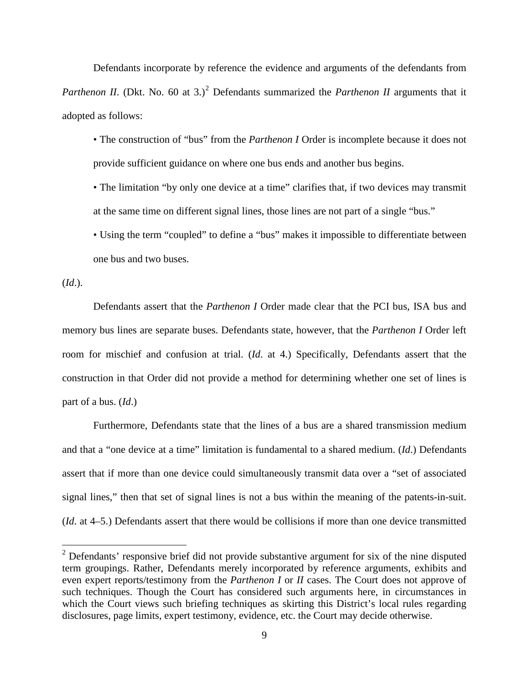Defendants incorporate by reference the evidence and arguments of the defendants from *Parthenon II.* (Dkt. No. 60 at 3.)<sup>[2](#page-8-0)</sup> Defendants summarized the *Parthenon II* arguments that it adopted as follows:

• The construction of "bus" from the *Parthenon I* Order is incomplete because it does not provide sufficient guidance on where one bus ends and another bus begins.

• The limitation "by only one device at a time" clarifies that, if two devices may transmit at the same time on different signal lines, those lines are not part of a single "bus."

• Using the term "coupled" to define a "bus" makes it impossible to differentiate between one bus and two buses.

(*Id*.).

 $\overline{a}$ 

Defendants assert that the *Parthenon I* Order made clear that the PCI bus, ISA bus and memory bus lines are separate buses. Defendants state, however, that the *Parthenon I* Order left room for mischief and confusion at trial. (*Id*. at 4.) Specifically, Defendants assert that the construction in that Order did not provide a method for determining whether one set of lines is part of a bus. (*Id*.)

Furthermore, Defendants state that the lines of a bus are a shared transmission medium and that a "one device at a time" limitation is fundamental to a shared medium. (*Id*.) Defendants assert that if more than one device could simultaneously transmit data over a "set of associated signal lines," then that set of signal lines is not a bus within the meaning of the patents-in-suit. (*Id*. at 4–5.) Defendants assert that there would be collisions if more than one device transmitted

<span id="page-8-0"></span> $2$  Defendants' responsive brief did not provide substantive argument for six of the nine disputed term groupings. Rather, Defendants merely incorporated by reference arguments, exhibits and even expert reports/testimony from the *Parthenon I* or *II* cases. The Court does not approve of such techniques. Though the Court has considered such arguments here, in circumstances in which the Court views such briefing techniques as skirting this District's local rules regarding disclosures, page limits, expert testimony, evidence, etc. the Court may decide otherwise.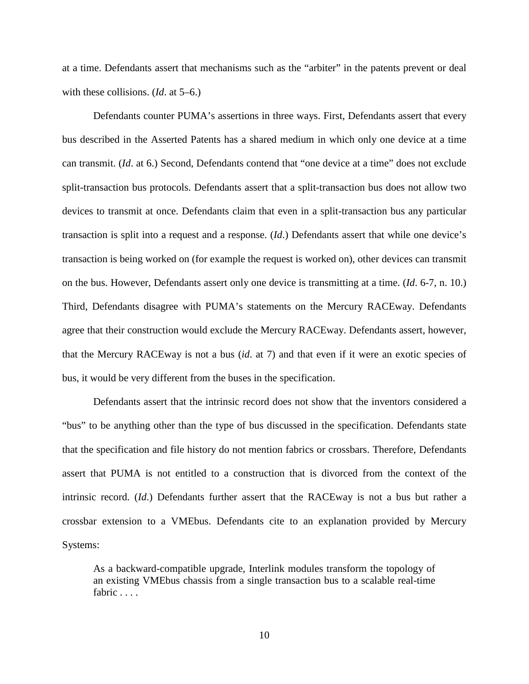at a time. Defendants assert that mechanisms such as the "arbiter" in the patents prevent or deal with these collisions. (*Id*. at 5–6.)

Defendants counter PUMA's assertions in three ways. First, Defendants assert that every bus described in the Asserted Patents has a shared medium in which only one device at a time can transmit. (*Id*. at 6.) Second, Defendants contend that "one device at a time" does not exclude split-transaction bus protocols. Defendants assert that a split-transaction bus does not allow two devices to transmit at once. Defendants claim that even in a split-transaction bus any particular transaction is split into a request and a response. (*Id*.) Defendants assert that while one device's transaction is being worked on (for example the request is worked on), other devices can transmit on the bus. However, Defendants assert only one device is transmitting at a time. (*Id*. 6-7, n. 10.) Third, Defendants disagree with PUMA's statements on the Mercury RACEway. Defendants agree that their construction would exclude the Mercury RACEway. Defendants assert, however, that the Mercury RACEway is not a bus (*id*. at 7) and that even if it were an exotic species of bus, it would be very different from the buses in the specification.

Defendants assert that the intrinsic record does not show that the inventors considered a "bus" to be anything other than the type of bus discussed in the specification. Defendants state that the specification and file history do not mention fabrics or crossbars. Therefore, Defendants assert that PUMA is not entitled to a construction that is divorced from the context of the intrinsic record. (*Id*.) Defendants further assert that the RACEway is not a bus but rather a crossbar extension to a VMEbus. Defendants cite to an explanation provided by Mercury Systems:

As a backward-compatible upgrade, Interlink modules transform the topology of an existing VMEbus chassis from a single transaction bus to a scalable real-time fabric . . . .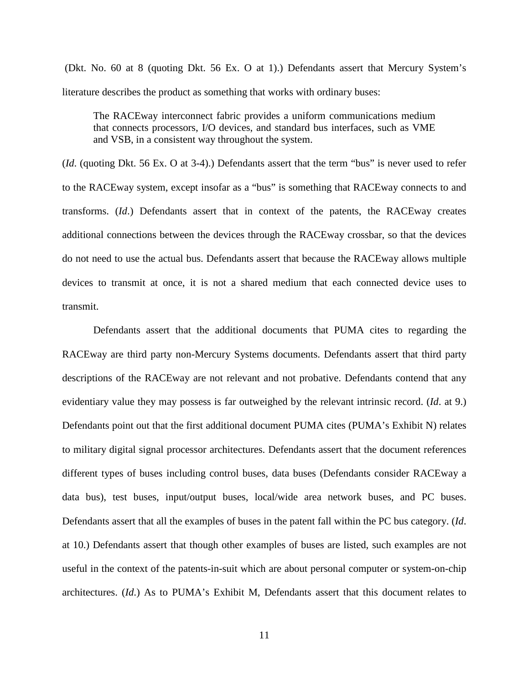(Dkt. No. 60 at 8 (quoting Dkt. 56 Ex. O at 1).) Defendants assert that Mercury System's literature describes the product as something that works with ordinary buses:

The RACEway interconnect fabric provides a uniform communications medium that connects processors, I/O devices, and standard bus interfaces, such as VME and VSB, in a consistent way throughout the system.

(*Id*. (quoting Dkt. 56 Ex. O at 3-4).) Defendants assert that the term "bus" is never used to refer to the RACEway system, except insofar as a "bus" is something that RACEway connects to and transforms. (*Id*.) Defendants assert that in context of the patents, the RACEway creates additional connections between the devices through the RACEway crossbar, so that the devices do not need to use the actual bus. Defendants assert that because the RACEway allows multiple devices to transmit at once, it is not a shared medium that each connected device uses to transmit.

Defendants assert that the additional documents that PUMA cites to regarding the RACEway are third party non-Mercury Systems documents. Defendants assert that third party descriptions of the RACEway are not relevant and not probative. Defendants contend that any evidentiary value they may possess is far outweighed by the relevant intrinsic record. (*Id*. at 9.) Defendants point out that the first additional document PUMA cites (PUMA's Exhibit N) relates to military digital signal processor architectures. Defendants assert that the document references different types of buses including control buses, data buses (Defendants consider RACEway a data bus), test buses, input/output buses, local/wide area network buses, and PC buses. Defendants assert that all the examples of buses in the patent fall within the PC bus category. (*Id*. at 10.) Defendants assert that though other examples of buses are listed, such examples are not useful in the context of the patents-in-suit which are about personal computer or system-on-chip architectures. (*Id*.) As to PUMA's Exhibit M, Defendants assert that this document relates to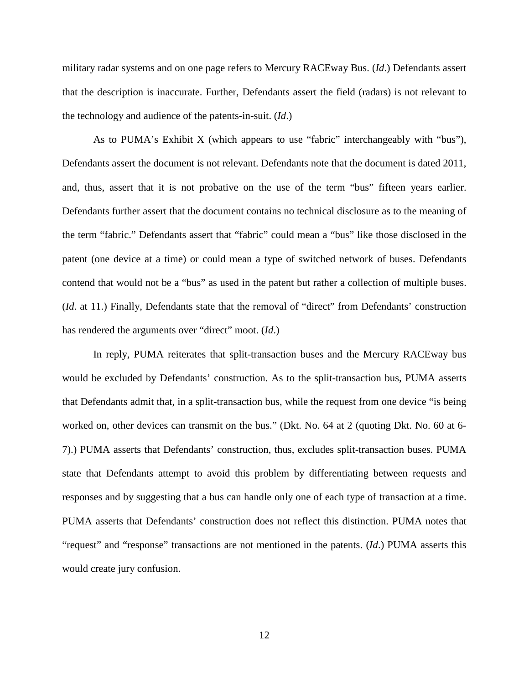military radar systems and on one page refers to Mercury RACEway Bus. (*Id*.) Defendants assert that the description is inaccurate. Further, Defendants assert the field (radars) is not relevant to the technology and audience of the patents-in-suit. (*Id*.)

As to PUMA's Exhibit X (which appears to use "fabric" interchangeably with "bus"), Defendants assert the document is not relevant. Defendants note that the document is dated 2011, and, thus, assert that it is not probative on the use of the term "bus" fifteen years earlier. Defendants further assert that the document contains no technical disclosure as to the meaning of the term "fabric." Defendants assert that "fabric" could mean a "bus" like those disclosed in the patent (one device at a time) or could mean a type of switched network of buses. Defendants contend that would not be a "bus" as used in the patent but rather a collection of multiple buses. (*Id*. at 11.) Finally, Defendants state that the removal of "direct" from Defendants' construction has rendered the arguments over "direct" moot. (*Id*.)

In reply, PUMA reiterates that split-transaction buses and the Mercury RACEway bus would be excluded by Defendants' construction. As to the split-transaction bus, PUMA asserts that Defendants admit that, in a split-transaction bus, while the request from one device "is being worked on, other devices can transmit on the bus." (Dkt. No. 64 at 2 (quoting Dkt. No. 60 at 6- 7).) PUMA asserts that Defendants' construction, thus, excludes split-transaction buses. PUMA state that Defendants attempt to avoid this problem by differentiating between requests and responses and by suggesting that a bus can handle only one of each type of transaction at a time. PUMA asserts that Defendants' construction does not reflect this distinction. PUMA notes that "request" and "response" transactions are not mentioned in the patents. (*Id*.) PUMA asserts this would create jury confusion.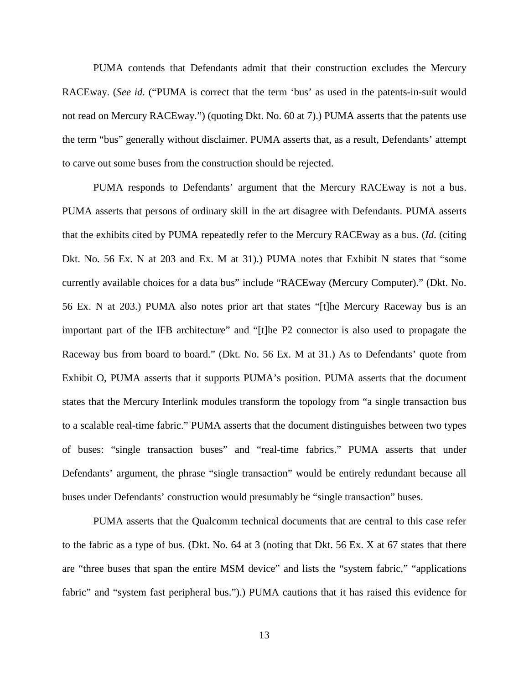PUMA contends that Defendants admit that their construction excludes the Mercury RACEway. (*See id*. ("PUMA is correct that the term 'bus' as used in the patents-in-suit would not read on Mercury RACEway.") (quoting Dkt. No. 60 at 7).) PUMA asserts that the patents use the term "bus" generally without disclaimer. PUMA asserts that, as a result, Defendants' attempt to carve out some buses from the construction should be rejected.

PUMA responds to Defendants' argument that the Mercury RACEway is not a bus. PUMA asserts that persons of ordinary skill in the art disagree with Defendants. PUMA asserts that the exhibits cited by PUMA repeatedly refer to the Mercury RACEway as a bus. (*Id*. (citing Dkt. No. 56 Ex. N at 203 and Ex. M at 31).) PUMA notes that Exhibit N states that "some currently available choices for a data bus" include "RACEway (Mercury Computer)." (Dkt. No. 56 Ex. N at 203.) PUMA also notes prior art that states "[t]he Mercury Raceway bus is an important part of the IFB architecture" and "[t]he P2 connector is also used to propagate the Raceway bus from board to board." (Dkt. No. 56 Ex. M at 31.) As to Defendants' quote from Exhibit O, PUMA asserts that it supports PUMA's position. PUMA asserts that the document states that the Mercury Interlink modules transform the topology from "a single transaction bus to a scalable real-time fabric." PUMA asserts that the document distinguishes between two types of buses: "single transaction buses" and "real-time fabrics." PUMA asserts that under Defendants' argument, the phrase "single transaction" would be entirely redundant because all buses under Defendants' construction would presumably be "single transaction" buses.

PUMA asserts that the Qualcomm technical documents that are central to this case refer to the fabric as a type of bus. (Dkt. No. 64 at 3 (noting that Dkt. 56 Ex. X at 67 states that there are "three buses that span the entire MSM device" and lists the "system fabric," "applications fabric" and "system fast peripheral bus.").) PUMA cautions that it has raised this evidence for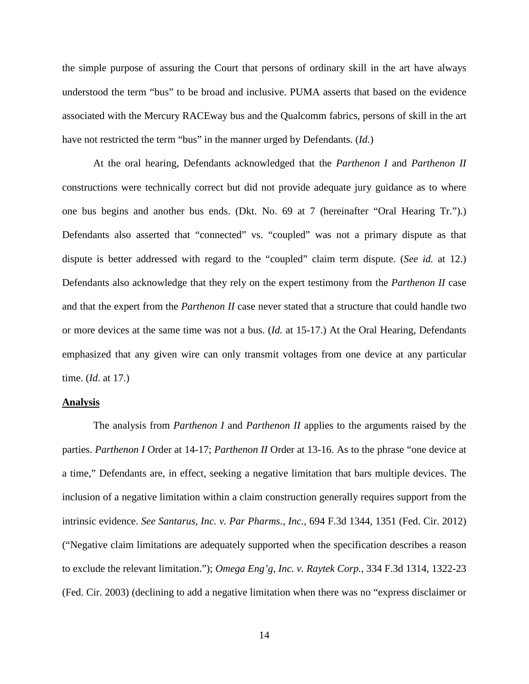the simple purpose of assuring the Court that persons of ordinary skill in the art have always understood the term "bus" to be broad and inclusive. PUMA asserts that based on the evidence associated with the Mercury RACEway bus and the Qualcomm fabrics, persons of skill in the art have not restricted the term "bus" in the manner urged by Defendants. (*Id*.)

At the oral hearing, Defendants acknowledged that the *Parthenon I* and *Parthenon II* constructions were technically correct but did not provide adequate jury guidance as to where one bus begins and another bus ends. (Dkt. No. 69 at 7 (hereinafter "Oral Hearing Tr.").) Defendants also asserted that "connected" vs. "coupled" was not a primary dispute as that dispute is better addressed with regard to the "coupled" claim term dispute. (*See id.* at 12.) Defendants also acknowledge that they rely on the expert testimony from the *Parthenon II* case and that the expert from the *Parthenon II* case never stated that a structure that could handle two or more devices at the same time was not a bus. (*Id.* at 15-17.) At the Oral Hearing, Defendants emphasized that any given wire can only transmit voltages from one device at any particular time. (*Id*. at 17.)

### **Analysis**

The analysis from *Parthenon I* and *Parthenon II* applies to the arguments raised by the parties. *Parthenon I* Order at 14-17; *Parthenon II* Order at 13-16. As to the phrase "one device at a time," Defendants are, in effect, seeking a negative limitation that bars multiple devices. The inclusion of a negative limitation within a claim construction generally requires support from the intrinsic evidence. *See Santarus, Inc. v. Par Pharms., Inc.*, 694 F.3d 1344, 1351 (Fed. Cir. 2012) ("Negative claim limitations are adequately supported when the specification describes a reason to exclude the relevant limitation."); *Omega Eng'g, Inc. v. Raytek Corp.*, 334 F.3d 1314, 1322-23 (Fed. Cir. 2003) (declining to add a negative limitation when there was no "express disclaimer or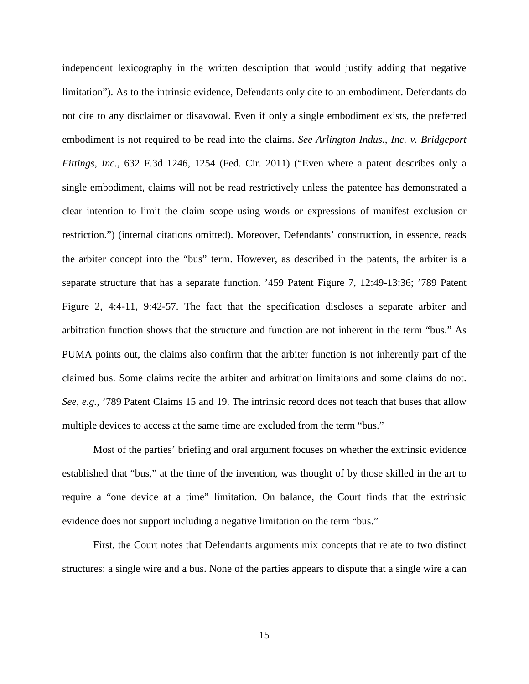independent lexicography in the written description that would justify adding that negative limitation"). As to the intrinsic evidence, Defendants only cite to an embodiment. Defendants do not cite to any disclaimer or disavowal. Even if only a single embodiment exists, the preferred embodiment is not required to be read into the claims. *See Arlington Indus., Inc. v. Bridgeport Fittings, Inc.,* 632 F.3d 1246, 1254 (Fed. Cir. 2011) ("Even where a patent describes only a single embodiment, claims will not be read restrictively unless the patentee has demonstrated a clear intention to limit the claim scope using words or expressions of manifest exclusion or restriction.") (internal citations omitted). Moreover, Defendants' construction, in essence, reads the arbiter concept into the "bus" term. However, as described in the patents, the arbiter is a separate structure that has a separate function. '459 Patent Figure 7, 12:49-13:36; '789 Patent Figure 2, 4:4-11, 9:42-57. The fact that the specification discloses a separate arbiter and arbitration function shows that the structure and function are not inherent in the term "bus." As PUMA points out, the claims also confirm that the arbiter function is not inherently part of the claimed bus. Some claims recite the arbiter and arbitration limitaions and some claims do not. *See*, *e.g.,* '789 Patent Claims 15 and 19. The intrinsic record does not teach that buses that allow multiple devices to access at the same time are excluded from the term "bus."

Most of the parties' briefing and oral argument focuses on whether the extrinsic evidence established that "bus," at the time of the invention, was thought of by those skilled in the art to require a "one device at a time" limitation. On balance, the Court finds that the extrinsic evidence does not support including a negative limitation on the term "bus."

First, the Court notes that Defendants arguments mix concepts that relate to two distinct structures: a single wire and a bus. None of the parties appears to dispute that a single wire a can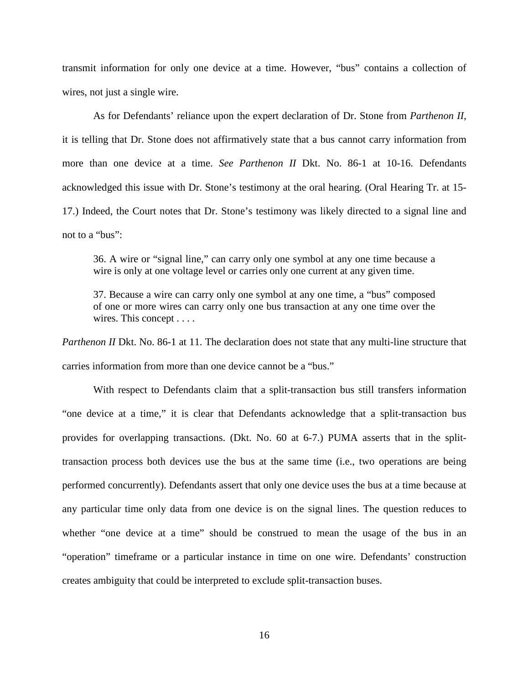transmit information for only one device at a time. However, "bus" contains a collection of wires, not just a single wire.

As for Defendants' reliance upon the expert declaration of Dr. Stone from *Parthenon II*, it is telling that Dr. Stone does not affirmatively state that a bus cannot carry information from more than one device at a time. *See Parthenon II* Dkt. No. 86-1 at 10-16. Defendants acknowledged this issue with Dr. Stone's testimony at the oral hearing. (Oral Hearing Tr. at 15- 17.) Indeed, the Court notes that Dr. Stone's testimony was likely directed to a signal line and not to a "bus":

36. A wire or "signal line," can carry only one symbol at any one time because a wire is only at one voltage level or carries only one current at any given time.

37. Because a wire can carry only one symbol at any one time, a "bus" composed of one or more wires can carry only one bus transaction at any one time over the wires. This concept . . . .

*Parthenon II* Dkt. No. 86-1 at 11. The declaration does not state that any multi-line structure that carries information from more than one device cannot be a "bus."

With respect to Defendants claim that a split-transaction bus still transfers information "one device at a time," it is clear that Defendants acknowledge that a split-transaction bus provides for overlapping transactions. (Dkt. No. 60 at 6-7.) PUMA asserts that in the splittransaction process both devices use the bus at the same time (i.e., two operations are being performed concurrently). Defendants assert that only one device uses the bus at a time because at any particular time only data from one device is on the signal lines. The question reduces to whether "one device at a time" should be construed to mean the usage of the bus in an "operation" timeframe or a particular instance in time on one wire. Defendants' construction creates ambiguity that could be interpreted to exclude split-transaction buses.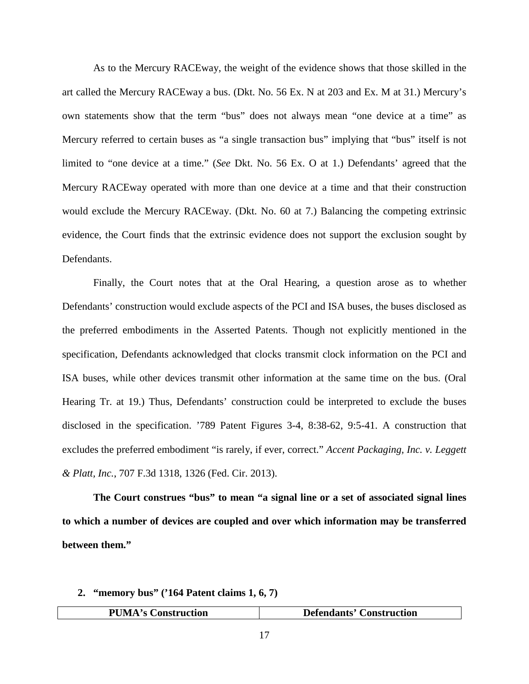As to the Mercury RACEway, the weight of the evidence shows that those skilled in the art called the Mercury RACEway a bus. (Dkt. No. 56 Ex. N at 203 and Ex. M at 31.) Mercury's own statements show that the term "bus" does not always mean "one device at a time" as Mercury referred to certain buses as "a single transaction bus" implying that "bus" itself is not limited to "one device at a time." (*See* Dkt. No. 56 Ex. O at 1.) Defendants' agreed that the Mercury RACEway operated with more than one device at a time and that their construction would exclude the Mercury RACEway. (Dkt. No. 60 at 7.) Balancing the competing extrinsic evidence, the Court finds that the extrinsic evidence does not support the exclusion sought by Defendants.

Finally, the Court notes that at the Oral Hearing, a question arose as to whether Defendants' construction would exclude aspects of the PCI and ISA buses, the buses disclosed as the preferred embodiments in the Asserted Patents. Though not explicitly mentioned in the specification, Defendants acknowledged that clocks transmit clock information on the PCI and ISA buses, while other devices transmit other information at the same time on the bus. (Oral Hearing Tr. at 19.) Thus, Defendants' construction could be interpreted to exclude the buses disclosed in the specification. '789 Patent Figures 3-4, 8:38-62, 9:5-41. A construction that excludes the preferred embodiment "is rarely, if ever, correct." *Accent Packaging, Inc. v. Leggett & Platt, Inc.*, 707 F.3d 1318, 1326 (Fed. Cir. 2013).

**The Court construes "bus" to mean "a signal line or a set of associated signal lines to which a number of devices are coupled and over which information may be transferred between them."**

#### **2. "memory bus" ('164 Patent claims 1, 6, 7)**

| $^{\mathsf{T}}\mathbf{M}$ ,<br>PI<br>Construction<br>$\sim$ | <b>Defendants' Construction</b> |
|-------------------------------------------------------------|---------------------------------|
|                                                             |                                 |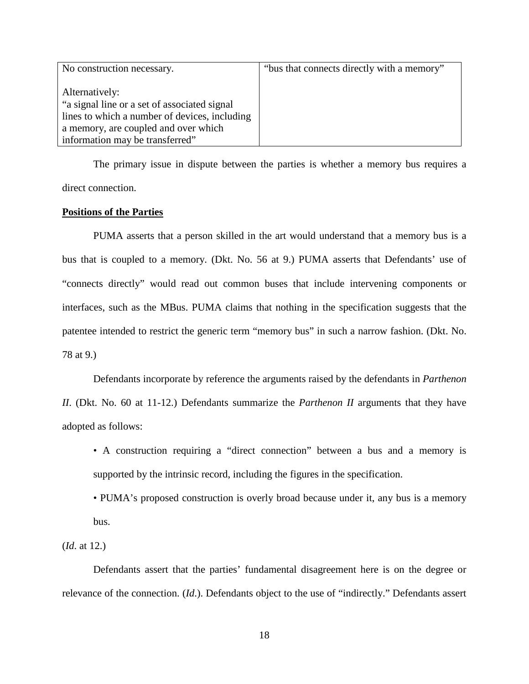| No construction necessary.                    | "bus that connects directly with a memory" |
|-----------------------------------------------|--------------------------------------------|
|                                               |                                            |
| Alternatively:                                |                                            |
| "a signal line or a set of associated signal" |                                            |
| lines to which a number of devices, including |                                            |
| a memory, are coupled and over which          |                                            |
| information may be transferred"               |                                            |

The primary issue in dispute between the parties is whether a memory bus requires a direct connection.

#### **Positions of the Parties**

PUMA asserts that a person skilled in the art would understand that a memory bus is a bus that is coupled to a memory. (Dkt. No. 56 at 9.) PUMA asserts that Defendants' use of "connects directly" would read out common buses that include intervening components or interfaces, such as the MBus. PUMA claims that nothing in the specification suggests that the patentee intended to restrict the generic term "memory bus" in such a narrow fashion. (Dkt. No. 78 at 9.)

Defendants incorporate by reference the arguments raised by the defendants in *Parthenon II*. (Dkt. No. 60 at 11-12.) Defendants summarize the *Parthenon II* arguments that they have adopted as follows:

- A construction requiring a "direct connection" between a bus and a memory is supported by the intrinsic record, including the figures in the specification.
- PUMA's proposed construction is overly broad because under it, any bus is a memory bus.

(*Id*. at 12.)

Defendants assert that the parties' fundamental disagreement here is on the degree or relevance of the connection. (*Id*.). Defendants object to the use of "indirectly." Defendants assert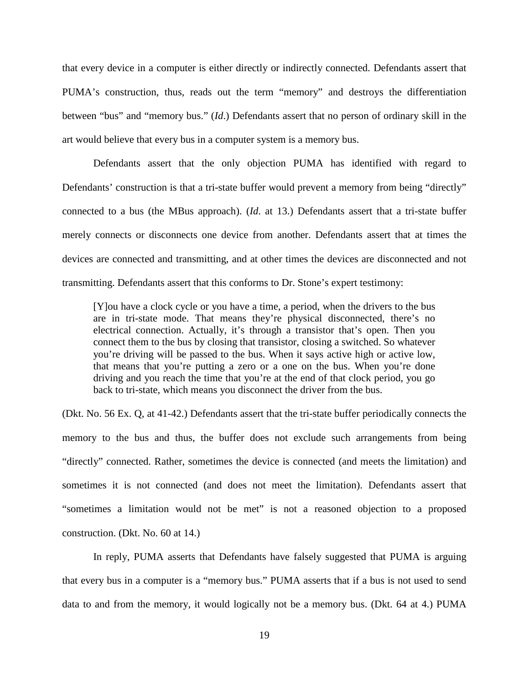that every device in a computer is either directly or indirectly connected. Defendants assert that PUMA's construction, thus, reads out the term "memory" and destroys the differentiation between "bus" and "memory bus." (*Id*.) Defendants assert that no person of ordinary skill in the art would believe that every bus in a computer system is a memory bus.

Defendants assert that the only objection PUMA has identified with regard to Defendants' construction is that a tri-state buffer would prevent a memory from being "directly" connected to a bus (the MBus approach). (*Id*. at 13.) Defendants assert that a tri-state buffer merely connects or disconnects one device from another. Defendants assert that at times the devices are connected and transmitting, and at other times the devices are disconnected and not transmitting. Defendants assert that this conforms to Dr. Stone's expert testimony:

[Y]ou have a clock cycle or you have a time, a period, when the drivers to the bus are in tri-state mode. That means they're physical disconnected, there's no electrical connection. Actually, it's through a transistor that's open. Then you connect them to the bus by closing that transistor, closing a switched. So whatever you're driving will be passed to the bus. When it says active high or active low, that means that you're putting a zero or a one on the bus. When you're done driving and you reach the time that you're at the end of that clock period, you go back to tri-state, which means you disconnect the driver from the bus.

(Dkt. No. 56 Ex. Q, at 41-42.) Defendants assert that the tri-state buffer periodically connects the memory to the bus and thus, the buffer does not exclude such arrangements from being "directly" connected. Rather, sometimes the device is connected (and meets the limitation) and sometimes it is not connected (and does not meet the limitation). Defendants assert that "sometimes a limitation would not be met" is not a reasoned objection to a proposed construction. (Dkt. No. 60 at 14.)

In reply, PUMA asserts that Defendants have falsely suggested that PUMA is arguing that every bus in a computer is a "memory bus." PUMA asserts that if a bus is not used to send data to and from the memory, it would logically not be a memory bus. (Dkt. 64 at 4.) PUMA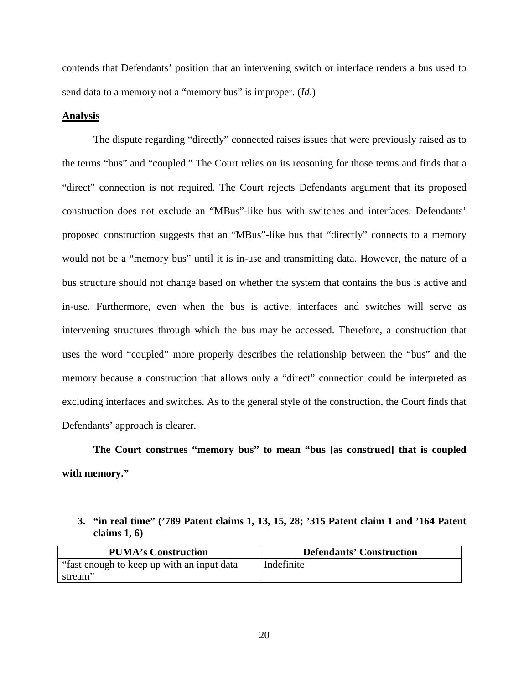contends that Defendants' position that an intervening switch or interface renders a bus used to send data to a memory not a "memory bus" is improper. (*Id*.)

### **Analysis**

The dispute regarding "directly" connected raises issues that were previously raised as to the terms "bus" and "coupled." The Court relies on its reasoning for those terms and finds that a "direct" connection is not required. The Court rejects Defendants argument that its proposed construction does not exclude an "MBus"-like bus with switches and interfaces. Defendants' proposed construction suggests that an "MBus"-like bus that "directly" connects to a memory would not be a "memory bus" until it is in-use and transmitting data. However, the nature of a bus structure should not change based on whether the system that contains the bus is active and in-use. Furthermore, even when the bus is active, interfaces and switches will serve as intervening structures through which the bus may be accessed. Therefore, a construction that uses the word "coupled" more properly describes the relationship between the "bus" and the memory because a construction that allows only a "direct" connection could be interpreted as excluding interfaces and switches. As to the general style of the construction, the Court finds that Defendants' approach is clearer.

**The Court construes "memory bus" to mean "bus [as construed] that is coupled with memory."** 

## **3. "in real time" ('789 Patent claims 1, 13, 15, 28; '315 Patent claim 1 and '164 Patent claims 1, 6)**

| <b>PUMA's Construction</b>                  | <b>Defendants' Construction</b> |
|---------------------------------------------|---------------------------------|
| "fast enough to keep up with an input data" | Indefinite                      |
| stream"                                     |                                 |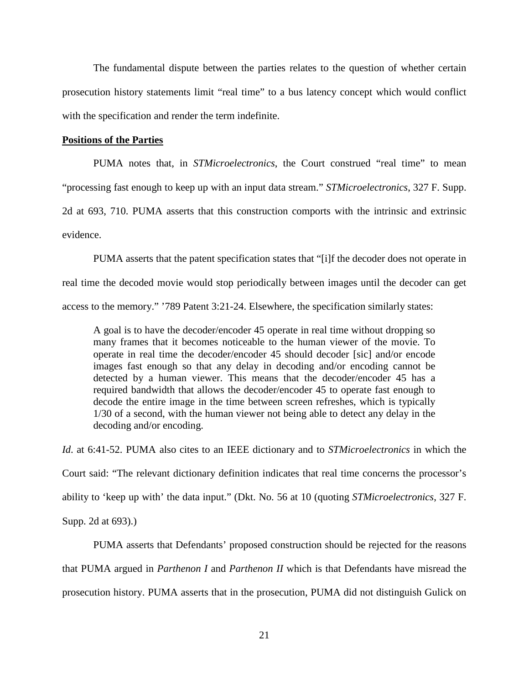The fundamental dispute between the parties relates to the question of whether certain prosecution history statements limit "real time" to a bus latency concept which would conflict with the specification and render the term indefinite.

### **Positions of the Parties**

PUMA notes that, in *STMicroelectronics*, the Court construed "real time" to mean "processing fast enough to keep up with an input data stream." *STMicroelectronics*, 327 F. Supp. 2d at 693, 710. PUMA asserts that this construction comports with the intrinsic and extrinsic evidence.

PUMA asserts that the patent specification states that "[i]f the decoder does not operate in real time the decoded movie would stop periodically between images until the decoder can get access to the memory." '789 Patent 3:21-24. Elsewhere, the specification similarly states:

A goal is to have the decoder/encoder 45 operate in real time without dropping so many frames that it becomes noticeable to the human viewer of the movie. To operate in real time the decoder/encoder 45 should decoder [sic] and/or encode images fast enough so that any delay in decoding and/or encoding cannot be detected by a human viewer. This means that the decoder/encoder 45 has a required bandwidth that allows the decoder/encoder 45 to operate fast enough to decode the entire image in the time between screen refreshes, which is typically 1/30 of a second, with the human viewer not being able to detect any delay in the decoding and/or encoding.

*Id*. at 6:41-52. PUMA also cites to an IEEE dictionary and to *STMicroelectronics* in which the Court said: "The relevant dictionary definition indicates that real time concerns the processor's ability to 'keep up with' the data input." (Dkt. No. 56 at 10 (quoting *STMicroelectronics*, 327 F. Supp. 2d at 693).)

PUMA asserts that Defendants' proposed construction should be rejected for the reasons that PUMA argued in *Parthenon I* and *Parthenon II* which is that Defendants have misread the prosecution history. PUMA asserts that in the prosecution, PUMA did not distinguish Gulick on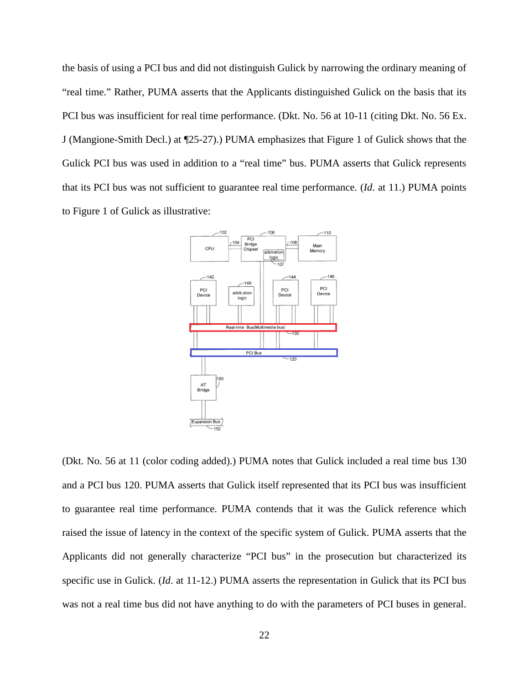the basis of using a PCI bus and did not distinguish Gulick by narrowing the ordinary meaning of "real time." Rather, PUMA asserts that the Applicants distinguished Gulick on the basis that its PCI bus was insufficient for real time performance. (Dkt. No. 56 at 10-11 (citing Dkt. No. 56 Ex. J (Mangione-Smith Decl.) at ¶25-27).) PUMA emphasizes that Figure 1 of Gulick shows that the Gulick PCI bus was used in addition to a "real time" bus. PUMA asserts that Gulick represents that its PCI bus was not sufficient to guarantee real time performance. (*Id*. at 11.) PUMA points to Figure 1 of Gulick as illustrative:



(Dkt. No. 56 at 11 (color coding added).) PUMA notes that Gulick included a real time bus 130 and a PCI bus 120. PUMA asserts that Gulick itself represented that its PCI bus was insufficient to guarantee real time performance. PUMA contends that it was the Gulick reference which raised the issue of latency in the context of the specific system of Gulick. PUMA asserts that the Applicants did not generally characterize "PCI bus" in the prosecution but characterized its specific use in Gulick. (*Id*. at 11-12.) PUMA asserts the representation in Gulick that its PCI bus was not a real time bus did not have anything to do with the parameters of PCI buses in general.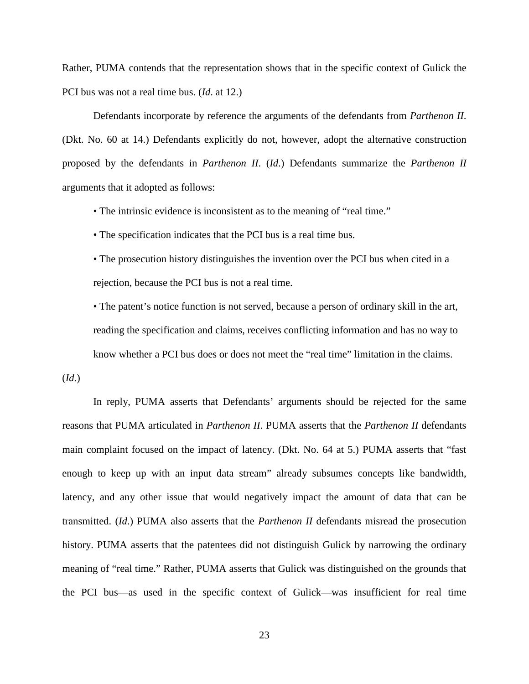Rather, PUMA contends that the representation shows that in the specific context of Gulick the PCI bus was not a real time bus. (*Id*. at 12.)

Defendants incorporate by reference the arguments of the defendants from *Parthenon II*. (Dkt. No. 60 at 14.) Defendants explicitly do not, however, adopt the alternative construction proposed by the defendants in *Parthenon II*. (*Id*.) Defendants summarize the *Parthenon II* arguments that it adopted as follows:

• The intrinsic evidence is inconsistent as to the meaning of "real time."

• The specification indicates that the PCI bus is a real time bus.

• The prosecution history distinguishes the invention over the PCI bus when cited in a rejection, because the PCI bus is not a real time.

• The patent's notice function is not served, because a person of ordinary skill in the art, reading the specification and claims, receives conflicting information and has no way to know whether a PCI bus does or does not meet the "real time" limitation in the claims.

(*Id*.)

In reply, PUMA asserts that Defendants' arguments should be rejected for the same reasons that PUMA articulated in *Parthenon II*. PUMA asserts that the *Parthenon II* defendants main complaint focused on the impact of latency. (Dkt. No. 64 at 5.) PUMA asserts that "fast enough to keep up with an input data stream" already subsumes concepts like bandwidth, latency, and any other issue that would negatively impact the amount of data that can be transmitted. (*Id*.) PUMA also asserts that the *Parthenon II* defendants misread the prosecution history. PUMA asserts that the patentees did not distinguish Gulick by narrowing the ordinary meaning of "real time." Rather, PUMA asserts that Gulick was distinguished on the grounds that the PCI bus—as used in the specific context of Gulick—was insufficient for real time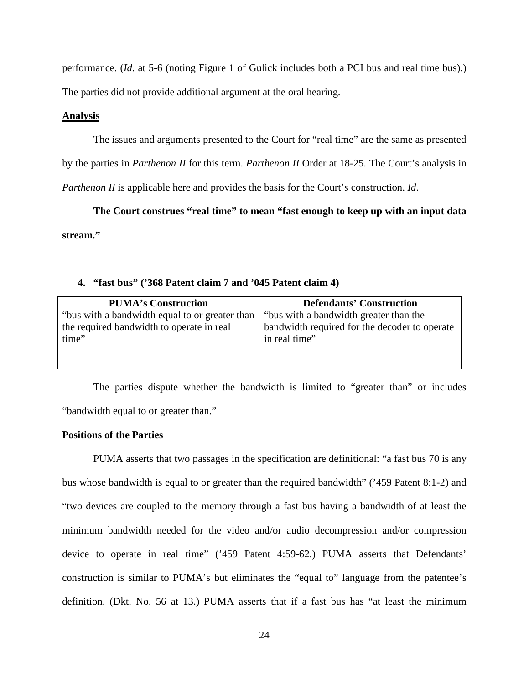performance. (*Id*. at 5-6 (noting Figure 1 of Gulick includes both a PCI bus and real time bus).) The parties did not provide additional argument at the oral hearing.

### **Analysis**

The issues and arguments presented to the Court for "real time" are the same as presented

by the parties in *Parthenon II* for this term. *Parthenon II* Order at 18-25. The Court's analysis in

*Parthenon II* is applicable here and provides the basis for the Court's construction. *Id*.

**The Court construes "real time" to mean "fast enough to keep up with an input data stream."**

### **4. "fast bus" ('368 Patent claim 7 and '045 Patent claim 4)**

| <b>PUMA's Construction</b>                     | <b>Defendants' Construction</b>               |
|------------------------------------------------|-----------------------------------------------|
| "bus with a bandwidth equal to or greater than | "bus with a bandwidth greater than the        |
| the required bandwidth to operate in real      | bandwidth required for the decoder to operate |
| time"                                          | in real time"                                 |
|                                                |                                               |
|                                                |                                               |

The parties dispute whether the bandwidth is limited to "greater than" or includes "bandwidth equal to or greater than."

### **Positions of the Parties**

PUMA asserts that two passages in the specification are definitional: "a fast bus 70 is any bus whose bandwidth is equal to or greater than the required bandwidth" ('459 Patent 8:1-2) and "two devices are coupled to the memory through a fast bus having a bandwidth of at least the minimum bandwidth needed for the video and/or audio decompression and/or compression device to operate in real time" ('459 Patent 4:59-62.) PUMA asserts that Defendants' construction is similar to PUMA's but eliminates the "equal to" language from the patentee's definition. (Dkt. No. 56 at 13.) PUMA asserts that if a fast bus has "at least the minimum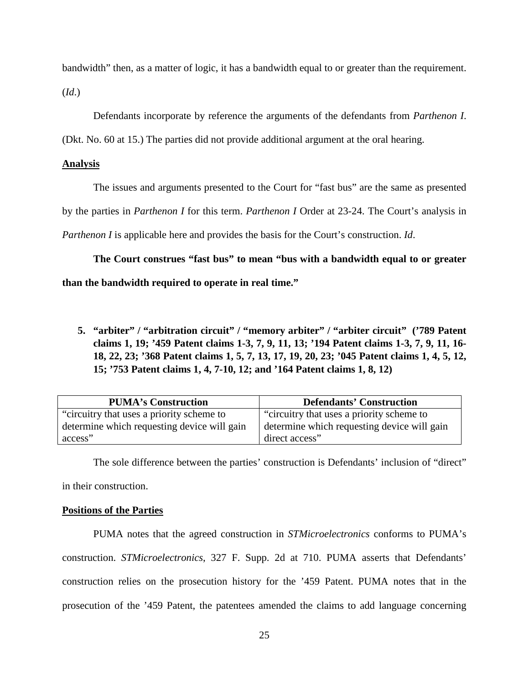bandwidth" then, as a matter of logic, it has a bandwidth equal to or greater than the requirement.

(*Id*.)

Defendants incorporate by reference the arguments of the defendants from *Parthenon I*.

(Dkt. No. 60 at 15.) The parties did not provide additional argument at the oral hearing.

## **Analysis**

The issues and arguments presented to the Court for "fast bus" are the same as presented

by the parties in *Parthenon I* for this term. *Parthenon I* Order at 23-24. The Court's analysis in

*Parthenon I* is applicable here and provides the basis for the Court's construction. *Id*.

**The Court construes "fast bus" to mean "bus with a bandwidth equal to or greater** 

**than the bandwidth required to operate in real time."**

**5. "arbiter" / "arbitration circuit" / "memory arbiter" / "arbiter circuit" ('789 Patent claims 1, 19; '459 Patent claims 1-3, 7, 9, 11, 13; '194 Patent claims 1-3, 7, 9, 11, 16- 18, 22, 23; '368 Patent claims 1, 5, 7, 13, 17, 19, 20, 23; '045 Patent claims 1, 4, 5, 12, 15; '753 Patent claims 1, 4, 7-10, 12; and '164 Patent claims 1, 8, 12)** 

| <b>PUMA's Construction</b>                  | <b>Defendants' Construction</b>             |
|---------------------------------------------|---------------------------------------------|
| "circuitry that uses a priority scheme to   | "circuitry that uses a priority scheme to   |
| determine which requesting device will gain | determine which requesting device will gain |
| access"                                     | direct access"                              |

The sole difference between the parties' construction is Defendants' inclusion of "direct"

in their construction.

## **Positions of the Parties**

PUMA notes that the agreed construction in *STMicroelectronics* conforms to PUMA's construction. *STMicroelectronics*, 327 F. Supp. 2d at 710. PUMA asserts that Defendants' construction relies on the prosecution history for the '459 Patent. PUMA notes that in the prosecution of the '459 Patent, the patentees amended the claims to add language concerning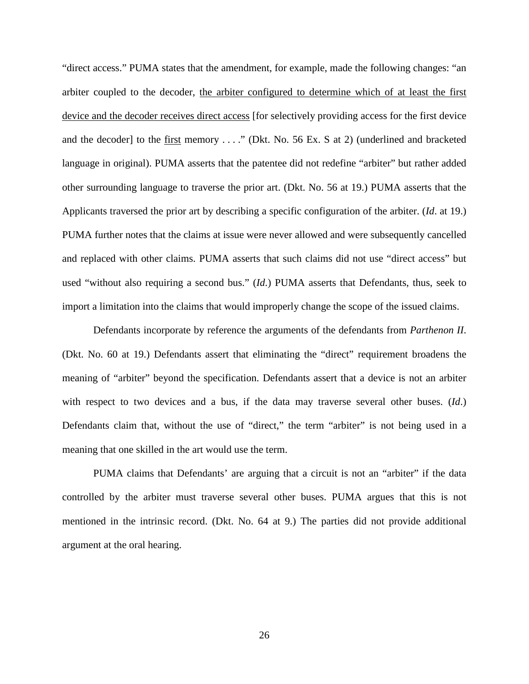"direct access." PUMA states that the amendment, for example, made the following changes: "an arbiter coupled to the decoder, the arbiter configured to determine which of at least the first device and the decoder receives direct access [for selectively providing access for the first device and the decoder] to the first memory . . . ." (Dkt. No. 56 Ex. S at 2) (underlined and bracketed language in original). PUMA asserts that the patentee did not redefine "arbiter" but rather added other surrounding language to traverse the prior art. (Dkt. No. 56 at 19.) PUMA asserts that the Applicants traversed the prior art by describing a specific configuration of the arbiter. (*Id*. at 19.) PUMA further notes that the claims at issue were never allowed and were subsequently cancelled and replaced with other claims. PUMA asserts that such claims did not use "direct access" but used "without also requiring a second bus." (*Id*.) PUMA asserts that Defendants, thus, seek to import a limitation into the claims that would improperly change the scope of the issued claims.

Defendants incorporate by reference the arguments of the defendants from *Parthenon II*. (Dkt. No. 60 at 19.) Defendants assert that eliminating the "direct" requirement broadens the meaning of "arbiter" beyond the specification. Defendants assert that a device is not an arbiter with respect to two devices and a bus, if the data may traverse several other buses. (*Id*.) Defendants claim that, without the use of "direct," the term "arbiter" is not being used in a meaning that one skilled in the art would use the term.

PUMA claims that Defendants' are arguing that a circuit is not an "arbiter" if the data controlled by the arbiter must traverse several other buses. PUMA argues that this is not mentioned in the intrinsic record. (Dkt. No. 64 at 9.) The parties did not provide additional argument at the oral hearing.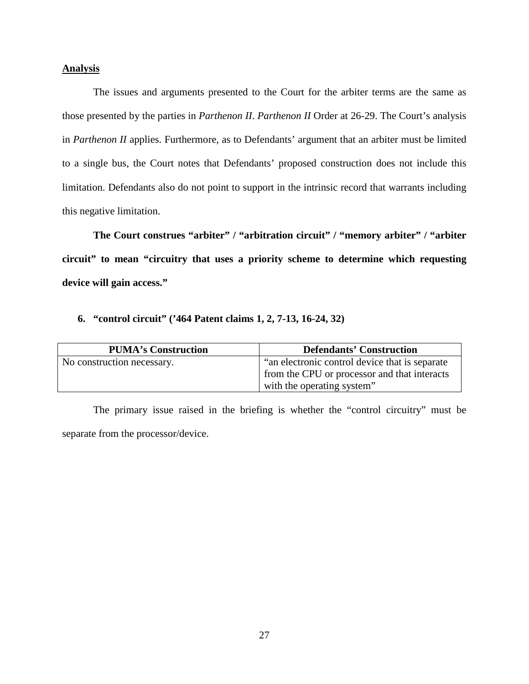## **Analysis**

The issues and arguments presented to the Court for the arbiter terms are the same as those presented by the parties in *Parthenon II*. *Parthenon II* Order at 26-29. The Court's analysis in *Parthenon II* applies. Furthermore, as to Defendants' argument that an arbiter must be limited to a single bus, the Court notes that Defendants' proposed construction does not include this limitation. Defendants also do not point to support in the intrinsic record that warrants including this negative limitation.

**The Court construes "arbiter" / "arbitration circuit" / "memory arbiter" / "arbiter circuit" to mean "circuitry that uses a priority scheme to determine which requesting device will gain access."**

# **6. "control circuit" ('464 Patent claims 1, 2, 7-13, 16-24, 32)**

| <b>PUMA's Construction</b> | <b>Defendants' Construction</b>                 |
|----------------------------|-------------------------------------------------|
| No construction necessary. | "an electronic control device that is separate" |
|                            | from the CPU or processor and that interacts    |
|                            | with the operating system"                      |

The primary issue raised in the briefing is whether the "control circuitry" must be separate from the processor/device.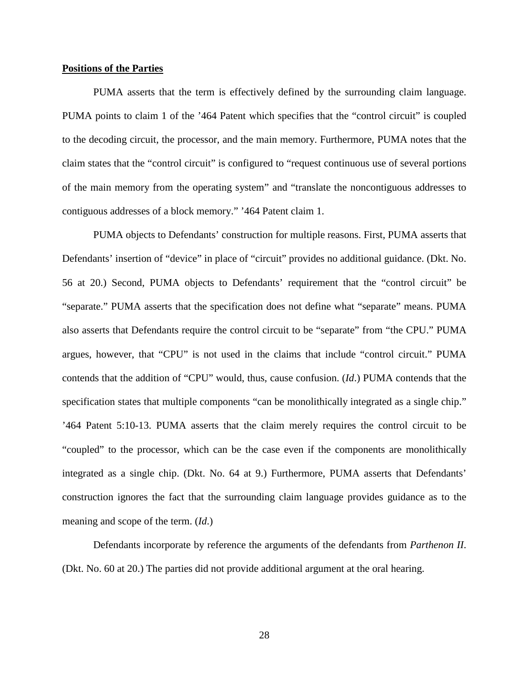#### **Positions of the Parties**

PUMA asserts that the term is effectively defined by the surrounding claim language. PUMA points to claim 1 of the '464 Patent which specifies that the "control circuit" is coupled to the decoding circuit, the processor, and the main memory. Furthermore, PUMA notes that the claim states that the "control circuit" is configured to "request continuous use of several portions of the main memory from the operating system" and "translate the noncontiguous addresses to contiguous addresses of a block memory." '464 Patent claim 1.

 PUMA objects to Defendants' construction for multiple reasons. First, PUMA asserts that Defendants' insertion of "device" in place of "circuit" provides no additional guidance. (Dkt. No. 56 at 20.) Second, PUMA objects to Defendants' requirement that the "control circuit" be "separate." PUMA asserts that the specification does not define what "separate" means. PUMA also asserts that Defendants require the control circuit to be "separate" from "the CPU." PUMA argues, however, that "CPU" is not used in the claims that include "control circuit." PUMA contends that the addition of "CPU" would, thus, cause confusion. (*Id*.) PUMA contends that the specification states that multiple components "can be monolithically integrated as a single chip." '464 Patent 5:10-13. PUMA asserts that the claim merely requires the control circuit to be "coupled" to the processor, which can be the case even if the components are monolithically integrated as a single chip. (Dkt. No. 64 at 9.) Furthermore, PUMA asserts that Defendants' construction ignores the fact that the surrounding claim language provides guidance as to the meaning and scope of the term. (*Id*.)

Defendants incorporate by reference the arguments of the defendants from *Parthenon II*. (Dkt. No. 60 at 20.) The parties did not provide additional argument at the oral hearing.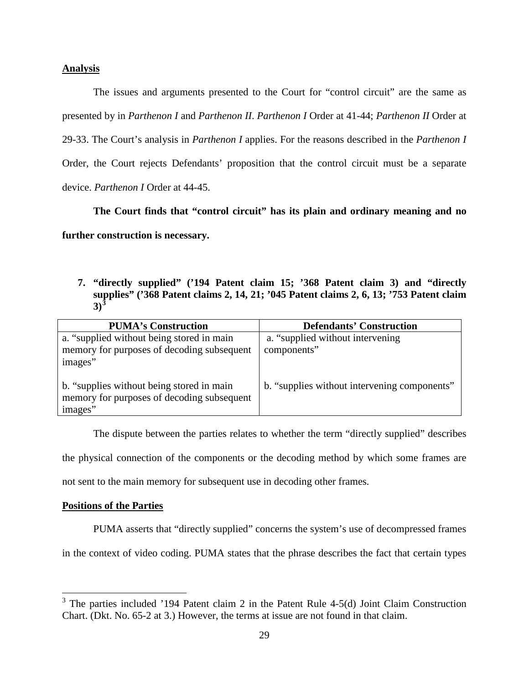## **Analysis**

The issues and arguments presented to the Court for "control circuit" are the same as presented by in *Parthenon I* and *Parthenon II*. *Parthenon I* Order at 41-44; *Parthenon II* Order at 29-33. The Court's analysis in *Parthenon I* applies. For the reasons described in the *Parthenon I* Order, the Court rejects Defendants' proposition that the control circuit must be a separate device. *Parthenon I* Order at 44-45.

**The Court finds that "control circuit" has its plain and ordinary meaning and no further construction is necessary.**

**7. "directly supplied" ('194 Patent claim 15; '368 Patent claim 3) and "directly supplies" ('368 Patent claims 2, 14, 21; '045 Patent claims 2, 6, 13; '753 Patent claim 3)[3](#page-28-0)**

| <b>PUMA's Construction</b>                                                                         | <b>Defendants' Construction</b>              |
|----------------------------------------------------------------------------------------------------|----------------------------------------------|
| a. "supplied without being stored in main                                                          | a. "supplied without intervening"            |
| memory for purposes of decoding subsequent                                                         | components"                                  |
| images"                                                                                            |                                              |
| b. "supplies without being stored in main<br>memory for purposes of decoding subsequent<br>images" | b. "supplies without intervening components" |

The dispute between the parties relates to whether the term "directly supplied" describes the physical connection of the components or the decoding method by which some frames are not sent to the main memory for subsequent use in decoding other frames.

## **Positions of the Parties**

 $\overline{a}$ 

PUMA asserts that "directly supplied" concerns the system's use of decompressed frames

in the context of video coding. PUMA states that the phrase describes the fact that certain types

<span id="page-28-0"></span> $3$  The parties included '194 Patent claim 2 in the Patent Rule 4-5(d) Joint Claim Construction Chart. (Dkt. No. 65-2 at 3.) However, the terms at issue are not found in that claim.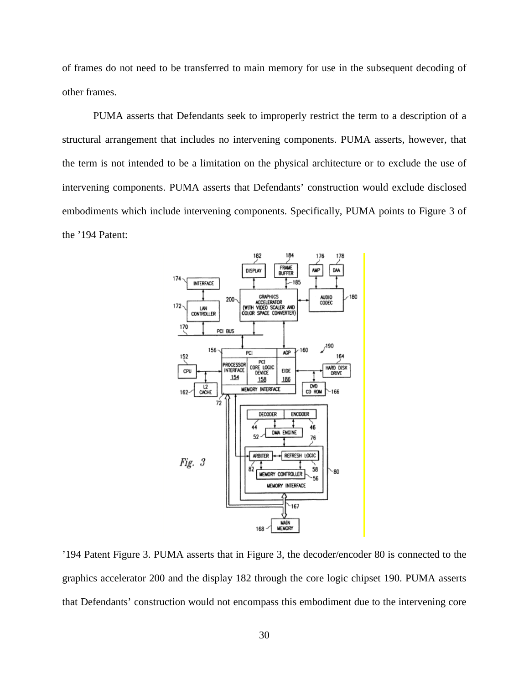of frames do not need to be transferred to main memory for use in the subsequent decoding of other frames.

PUMA asserts that Defendants seek to improperly restrict the term to a description of a structural arrangement that includes no intervening components. PUMA asserts, however, that the term is not intended to be a limitation on the physical architecture or to exclude the use of intervening components. PUMA asserts that Defendants' construction would exclude disclosed embodiments which include intervening components. Specifically, PUMA points to Figure 3 of the '194 Patent:



'194 Patent Figure 3. PUMA asserts that in Figure 3, the decoder/encoder 80 is connected to the graphics accelerator 200 and the display 182 through the core logic chipset 190. PUMA asserts that Defendants' construction would not encompass this embodiment due to the intervening core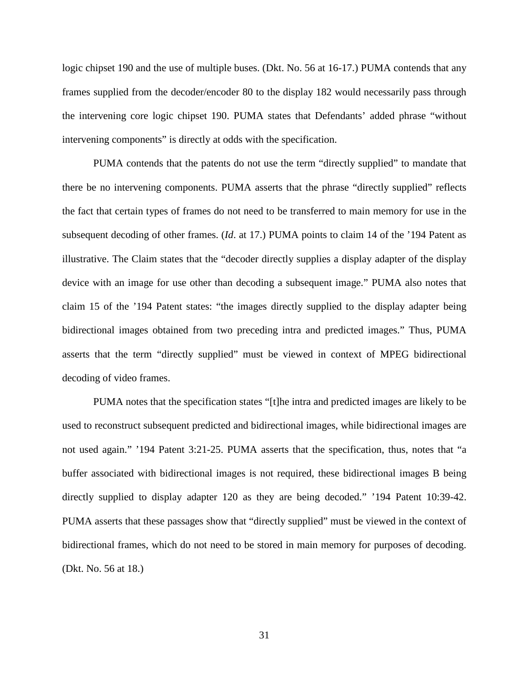logic chipset 190 and the use of multiple buses. (Dkt. No. 56 at 16-17.) PUMA contends that any frames supplied from the decoder/encoder 80 to the display 182 would necessarily pass through the intervening core logic chipset 190. PUMA states that Defendants' added phrase "without intervening components" is directly at odds with the specification.

PUMA contends that the patents do not use the term "directly supplied" to mandate that there be no intervening components. PUMA asserts that the phrase "directly supplied" reflects the fact that certain types of frames do not need to be transferred to main memory for use in the subsequent decoding of other frames. (*Id*. at 17.) PUMA points to claim 14 of the '194 Patent as illustrative. The Claim states that the "decoder directly supplies a display adapter of the display device with an image for use other than decoding a subsequent image." PUMA also notes that claim 15 of the '194 Patent states: "the images directly supplied to the display adapter being bidirectional images obtained from two preceding intra and predicted images." Thus, PUMA asserts that the term "directly supplied" must be viewed in context of MPEG bidirectional decoding of video frames.

PUMA notes that the specification states "[t]he intra and predicted images are likely to be used to reconstruct subsequent predicted and bidirectional images, while bidirectional images are not used again." '194 Patent 3:21-25. PUMA asserts that the specification, thus, notes that "a buffer associated with bidirectional images is not required, these bidirectional images B being directly supplied to display adapter 120 as they are being decoded." '194 Patent 10:39-42. PUMA asserts that these passages show that "directly supplied" must be viewed in the context of bidirectional frames, which do not need to be stored in main memory for purposes of decoding. (Dkt. No. 56 at 18.)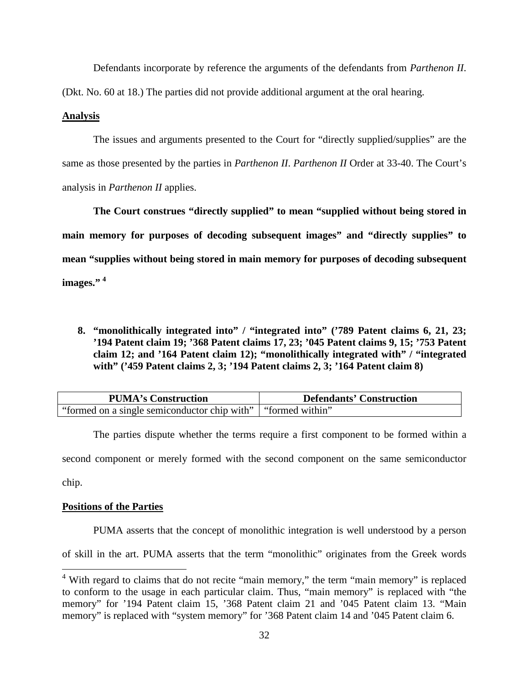Defendants incorporate by reference the arguments of the defendants from *Parthenon II*.

(Dkt. No. 60 at 18.) The parties did not provide additional argument at the oral hearing.

# **Analysis**

The issues and arguments presented to the Court for "directly supplied/supplies" are the same as those presented by the parties in *Parthenon II*. *Parthenon II* Order at 33-40. The Court's analysis in *Parthenon II* applies.

**The Court construes "directly supplied" to mean "supplied without being stored in main memory for purposes of decoding subsequent images" and "directly supplies" to mean "supplies without being stored in main memory for purposes of decoding subsequent images." [4](#page-31-0)**

**8. "monolithically integrated into" / "integrated into" ('789 Patent claims 6, 21, 23; '194 Patent claim 19; '368 Patent claims 17, 23; '045 Patent claims 9, 15; '753 Patent claim 12; and '164 Patent claim 12); "monolithically integrated with" / "integrated with" ('459 Patent claims 2, 3; '194 Patent claims 2, 3; '164 Patent claim 8)** 

| <b>PUMA's Construction</b>                                     | <b>Defendants' Construction</b> |
|----------------------------------------------------------------|---------------------------------|
| "formed on a single semiconductor chip with"   "formed within" |                                 |

The parties dispute whether the terms require a first component to be formed within a second component or merely formed with the second component on the same semiconductor chip.

# **Positions of the Parties**

 $\overline{a}$ 

PUMA asserts that the concept of monolithic integration is well understood by a person

of skill in the art. PUMA asserts that the term "monolithic" originates from the Greek words

<span id="page-31-0"></span> $4$  With regard to claims that do not recite "main memory," the term "main memory" is replaced to conform to the usage in each particular claim. Thus, "main memory" is replaced with "the memory" for '194 Patent claim 15, '368 Patent claim 21 and '045 Patent claim 13. "Main memory" is replaced with "system memory" for '368 Patent claim 14 and '045 Patent claim 6.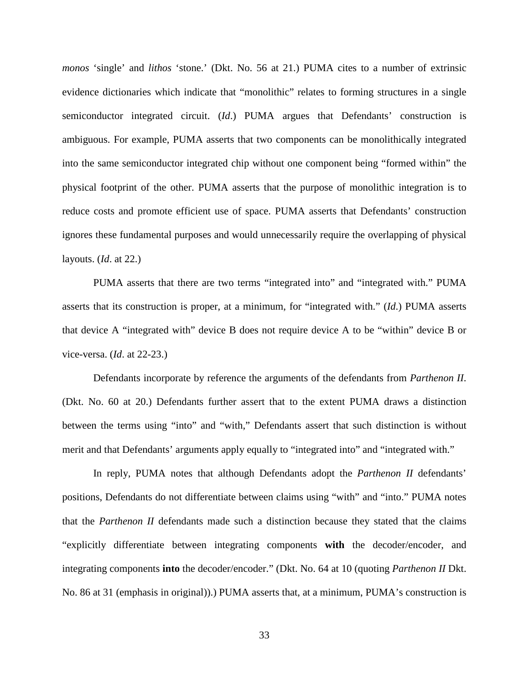*monos* 'single' and *lithos* 'stone.' (Dkt. No. 56 at 21.) PUMA cites to a number of extrinsic evidence dictionaries which indicate that "monolithic" relates to forming structures in a single semiconductor integrated circuit. (*Id*.) PUMA argues that Defendants' construction is ambiguous. For example, PUMA asserts that two components can be monolithically integrated into the same semiconductor integrated chip without one component being "formed within" the physical footprint of the other. PUMA asserts that the purpose of monolithic integration is to reduce costs and promote efficient use of space. PUMA asserts that Defendants' construction ignores these fundamental purposes and would unnecessarily require the overlapping of physical layouts. (*Id*. at 22.)

PUMA asserts that there are two terms "integrated into" and "integrated with." PUMA asserts that its construction is proper, at a minimum, for "integrated with." (*Id*.) PUMA asserts that device A "integrated with" device B does not require device A to be "within" device B or vice-versa. (*Id*. at 22-23.)

Defendants incorporate by reference the arguments of the defendants from *Parthenon II*. (Dkt. No. 60 at 20.) Defendants further assert that to the extent PUMA draws a distinction between the terms using "into" and "with," Defendants assert that such distinction is without merit and that Defendants' arguments apply equally to "integrated into" and "integrated with."

In reply, PUMA notes that although Defendants adopt the *Parthenon II* defendants' positions, Defendants do not differentiate between claims using "with" and "into." PUMA notes that the *Parthenon II* defendants made such a distinction because they stated that the claims "explicitly differentiate between integrating components **with** the decoder/encoder, and integrating components **into** the decoder/encoder." (Dkt. No. 64 at 10 (quoting *Parthenon II* Dkt. No. 86 at 31 (emphasis in original)).) PUMA asserts that, at a minimum, PUMA's construction is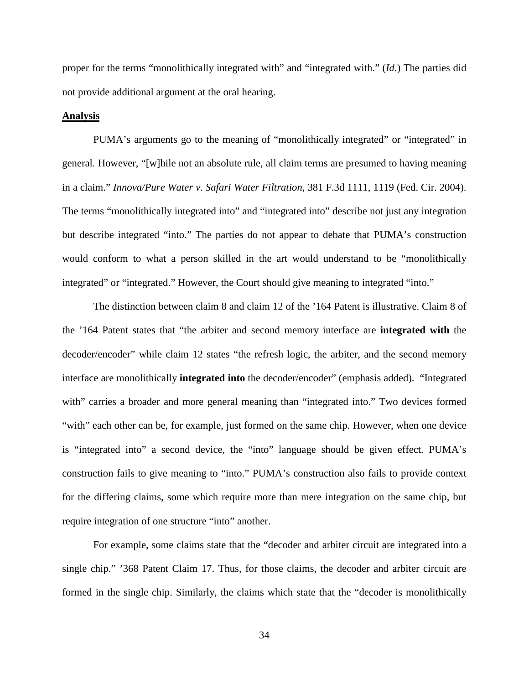proper for the terms "monolithically integrated with" and "integrated with." (*Id*.) The parties did not provide additional argument at the oral hearing.

#### **Analysis**

PUMA's arguments go to the meaning of "monolithically integrated" or "integrated" in general. However, "[w]hile not an absolute rule, all claim terms are presumed to having meaning in a claim." *Innova/Pure Water v. Safari Water Filtration*, 381 F.3d 1111, 1119 (Fed. Cir. 2004). The terms "monolithically integrated into" and "integrated into" describe not just any integration but describe integrated "into." The parties do not appear to debate that PUMA's construction would conform to what a person skilled in the art would understand to be "monolithically integrated" or "integrated." However, the Court should give meaning to integrated "into."

The distinction between claim 8 and claim 12 of the '164 Patent is illustrative. Claim 8 of the '164 Patent states that "the arbiter and second memory interface are **integrated with** the decoder/encoder" while claim 12 states "the refresh logic, the arbiter, and the second memory interface are monolithically **integrated into** the decoder/encoder" (emphasis added). "Integrated with" carries a broader and more general meaning than "integrated into." Two devices formed "with" each other can be, for example, just formed on the same chip. However, when one device is "integrated into" a second device, the "into" language should be given effect. PUMA's construction fails to give meaning to "into." PUMA's construction also fails to provide context for the differing claims, some which require more than mere integration on the same chip, but require integration of one structure "into" another.

For example, some claims state that the "decoder and arbiter circuit are integrated into a single chip." '368 Patent Claim 17. Thus, for those claims, the decoder and arbiter circuit are formed in the single chip. Similarly, the claims which state that the "decoder is monolithically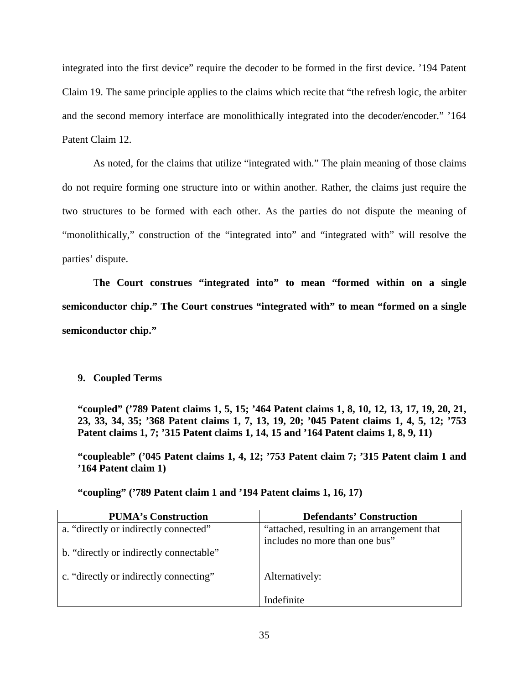integrated into the first device" require the decoder to be formed in the first device. '194 Patent Claim 19. The same principle applies to the claims which recite that "the refresh logic, the arbiter and the second memory interface are monolithically integrated into the decoder/encoder." '164 Patent Claim 12.

As noted, for the claims that utilize "integrated with." The plain meaning of those claims do not require forming one structure into or within another. Rather, the claims just require the two structures to be formed with each other. As the parties do not dispute the meaning of "monolithically," construction of the "integrated into" and "integrated with" will resolve the parties' dispute.

T**he Court construes "integrated into" to mean "formed within on a single semiconductor chip." The Court construes "integrated with" to mean "formed on a single semiconductor chip."** 

# **9. Coupled Terms**

**"coupled" ('789 Patent claims 1, 5, 15; '464 Patent claims 1, 8, 10, 12, 13, 17, 19, 20, 21, 23, 33, 34, 35; '368 Patent claims 1, 7, 13, 19, 20; '045 Patent claims 1, 4, 5, 12; '753 Patent claims 1, 7; '315 Patent claims 1, 14, 15 and '164 Patent claims 1, 8, 9, 11)** 

**"coupleable" ('045 Patent claims 1, 4, 12; '753 Patent claim 7; '315 Patent claim 1 and '164 Patent claim 1)** 

| <b>PUMA's Construction</b>              | <b>Defendants' Construction</b>                                               |
|-----------------------------------------|-------------------------------------------------------------------------------|
| a. "directly or indirectly connected"   | "attached, resulting in an arrangement that<br>includes no more than one bus" |
| b. "directly or indirectly connectable" |                                                                               |
| c. "directly or indirectly connecting"  | Alternatively:                                                                |
|                                         | Indefinite                                                                    |

**"coupling" ('789 Patent claim 1 and '194 Patent claims 1, 16, 17)**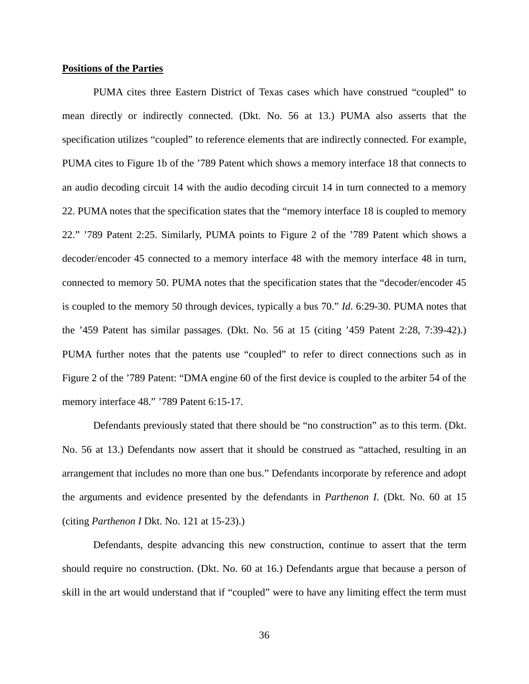#### **Positions of the Parties**

PUMA cites three Eastern District of Texas cases which have construed "coupled" to mean directly or indirectly connected. (Dkt. No. 56 at 13.) PUMA also asserts that the specification utilizes "coupled" to reference elements that are indirectly connected. For example, PUMA cites to Figure 1b of the '789 Patent which shows a memory interface 18 that connects to an audio decoding circuit 14 with the audio decoding circuit 14 in turn connected to a memory 22. PUMA notes that the specification states that the "memory interface 18 is coupled to memory 22." '789 Patent 2:25. Similarly, PUMA points to Figure 2 of the '789 Patent which shows a decoder/encoder 45 connected to a memory interface 48 with the memory interface 48 in turn, connected to memory 50. PUMA notes that the specification states that the "decoder/encoder 45 is coupled to the memory 50 through devices, typically a bus 70." *Id*. 6:29-30. PUMA notes that the '459 Patent has similar passages. (Dkt. No. 56 at 15 (citing '459 Patent 2:28, 7:39-42).) PUMA further notes that the patents use "coupled" to refer to direct connections such as in Figure 2 of the '789 Patent: "DMA engine 60 of the first device is coupled to the arbiter 54 of the memory interface 48." '789 Patent 6:15-17.

Defendants previously stated that there should be "no construction" as to this term. (Dkt. No. 56 at 13.) Defendants now assert that it should be construed as "attached, resulting in an arrangement that includes no more than one bus." Defendants incorporate by reference and adopt the arguments and evidence presented by the defendants in *Parthenon I*. (Dkt. No. 60 at 15 (citing *Parthenon I* Dkt. No. 121 at 15-23).)

Defendants, despite advancing this new construction, continue to assert that the term should require no construction. (Dkt. No. 60 at 16.) Defendants argue that because a person of skill in the art would understand that if "coupled" were to have any limiting effect the term must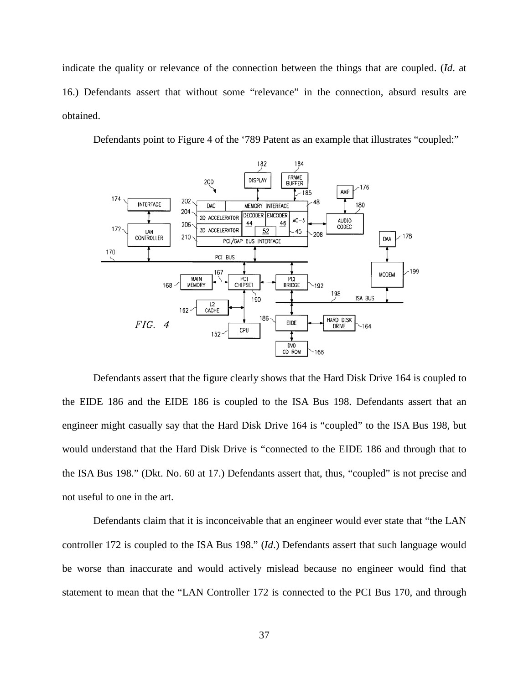indicate the quality or relevance of the connection between the things that are coupled. (*Id*. at 16.) Defendants assert that without some "relevance" in the connection, absurd results are obtained.

Defendants point to Figure 4 of the '789 Patent as an example that illustrates "coupled:"



Defendants assert that the figure clearly shows that the Hard Disk Drive 164 is coupled to the EIDE 186 and the EIDE 186 is coupled to the ISA Bus 198. Defendants assert that an engineer might casually say that the Hard Disk Drive 164 is "coupled" to the ISA Bus 198, but would understand that the Hard Disk Drive is "connected to the EIDE 186 and through that to the ISA Bus 198." (Dkt. No. 60 at 17.) Defendants assert that, thus, "coupled" is not precise and not useful to one in the art.

Defendants claim that it is inconceivable that an engineer would ever state that "the LAN controller 172 is coupled to the ISA Bus 198." (*Id*.) Defendants assert that such language would be worse than inaccurate and would actively mislead because no engineer would find that statement to mean that the "LAN Controller 172 is connected to the PCI Bus 170, and through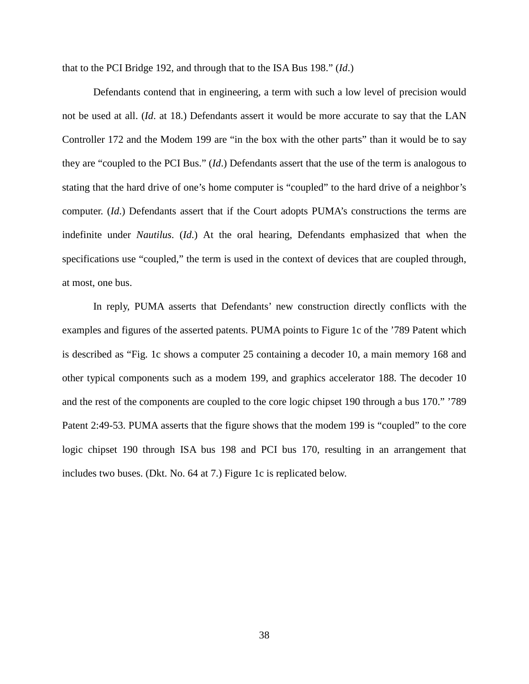that to the PCI Bridge 192, and through that to the ISA Bus 198." (*Id*.)

Defendants contend that in engineering, a term with such a low level of precision would not be used at all. (*Id*. at 18.) Defendants assert it would be more accurate to say that the LAN Controller 172 and the Modem 199 are "in the box with the other parts" than it would be to say they are "coupled to the PCI Bus." (*Id*.) Defendants assert that the use of the term is analogous to stating that the hard drive of one's home computer is "coupled" to the hard drive of a neighbor's computer. (*Id*.) Defendants assert that if the Court adopts PUMA's constructions the terms are indefinite under *Nautilus*. (*Id*.) At the oral hearing, Defendants emphasized that when the specifications use "coupled," the term is used in the context of devices that are coupled through, at most, one bus.

In reply, PUMA asserts that Defendants' new construction directly conflicts with the examples and figures of the asserted patents. PUMA points to Figure 1c of the '789 Patent which is described as "Fig. 1c shows a computer 25 containing a decoder 10, a main memory 168 and other typical components such as a modem 199, and graphics accelerator 188. The decoder 10 and the rest of the components are coupled to the core logic chipset 190 through a bus 170." '789 Patent 2:49-53. PUMA asserts that the figure shows that the modem 199 is "coupled" to the core logic chipset 190 through ISA bus 198 and PCI bus 170, resulting in an arrangement that includes two buses. (Dkt. No. 64 at 7.) Figure 1c is replicated below.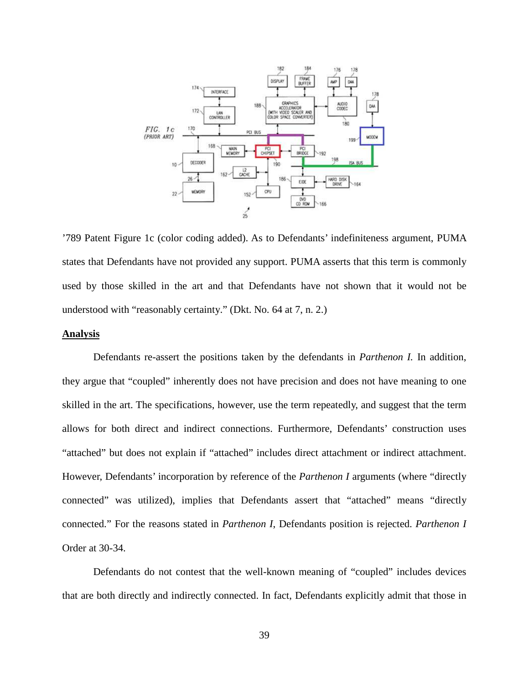

'789 Patent Figure 1c (color coding added). As to Defendants' indefiniteness argument, PUMA states that Defendants have not provided any support. PUMA asserts that this term is commonly used by those skilled in the art and that Defendants have not shown that it would not be understood with "reasonably certainty." (Dkt. No. 64 at 7, n. 2.)

## **Analysis**

Defendants re-assert the positions taken by the defendants in *Parthenon I.* In addition, they argue that "coupled" inherently does not have precision and does not have meaning to one skilled in the art. The specifications, however, use the term repeatedly, and suggest that the term allows for both direct and indirect connections. Furthermore, Defendants' construction uses "attached" but does not explain if "attached" includes direct attachment or indirect attachment. However, Defendants' incorporation by reference of the *Parthenon I* arguments (where "directly connected" was utilized), implies that Defendants assert that "attached" means "directly connected." For the reasons stated in *Parthenon I*, Defendants position is rejected. *Parthenon I* Order at 30-34.

Defendants do not contest that the well-known meaning of "coupled" includes devices that are both directly and indirectly connected. In fact, Defendants explicitly admit that those in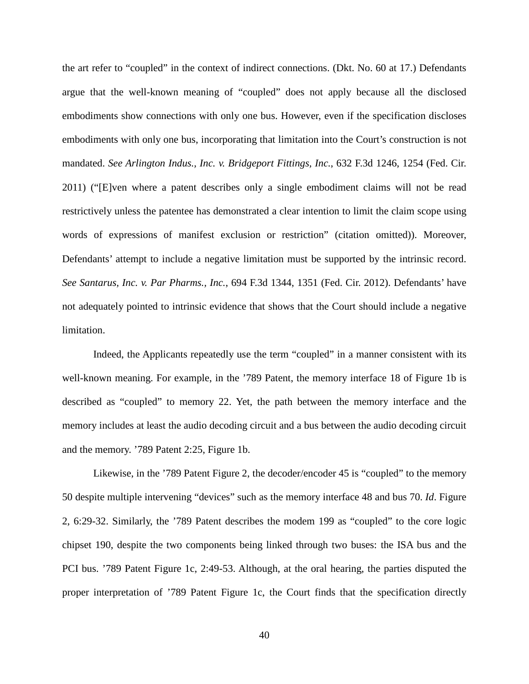the art refer to "coupled" in the context of indirect connections. (Dkt. No. 60 at 17.) Defendants argue that the well-known meaning of "coupled" does not apply because all the disclosed embodiments show connections with only one bus. However, even if the specification discloses embodiments with only one bus, incorporating that limitation into the Court's construction is not mandated. *See Arlington Indus., Inc. v. Bridgeport Fittings, Inc.*, 632 F.3d 1246, 1254 (Fed. Cir. 2011) ("[E]ven where a patent describes only a single embodiment claims will not be read restrictively unless the patentee has demonstrated a clear intention to limit the claim scope using words of expressions of manifest exclusion or restriction" (citation omitted)). Moreover, Defendants' attempt to include a negative limitation must be supported by the intrinsic record. *See Santarus, Inc. v. Par Pharms., Inc.*, 694 F.3d 1344, 1351 (Fed. Cir. 2012). Defendants' have not adequately pointed to intrinsic evidence that shows that the Court should include a negative limitation.

Indeed, the Applicants repeatedly use the term "coupled" in a manner consistent with its well-known meaning. For example, in the '789 Patent, the memory interface 18 of Figure 1b is described as "coupled" to memory 22. Yet, the path between the memory interface and the memory includes at least the audio decoding circuit and a bus between the audio decoding circuit and the memory. '789 Patent 2:25, Figure 1b.

Likewise, in the '789 Patent Figure 2, the decoder/encoder 45 is "coupled" to the memory 50 despite multiple intervening "devices" such as the memory interface 48 and bus 70. *Id*. Figure 2, 6:29-32. Similarly, the '789 Patent describes the modem 199 as "coupled" to the core logic chipset 190, despite the two components being linked through two buses: the ISA bus and the PCI bus. '789 Patent Figure 1c, 2:49-53. Although, at the oral hearing, the parties disputed the proper interpretation of '789 Patent Figure 1c, the Court finds that the specification directly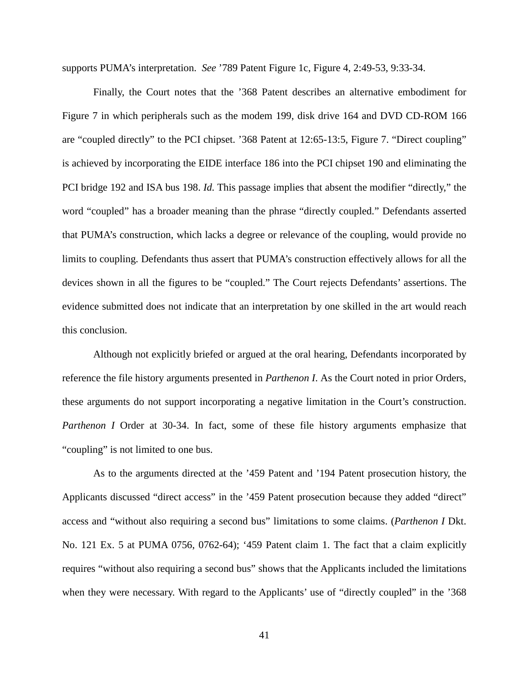supports PUMA's interpretation. *See* '789 Patent Figure 1c, Figure 4, 2:49-53, 9:33-34.

Finally, the Court notes that the '368 Patent describes an alternative embodiment for Figure 7 in which peripherals such as the modem 199, disk drive 164 and DVD CD-ROM 166 are "coupled directly" to the PCI chipset. '368 Patent at 12:65-13:5, Figure 7. "Direct coupling" is achieved by incorporating the EIDE interface 186 into the PCI chipset 190 and eliminating the PCI bridge 192 and ISA bus 198. *Id.* This passage implies that absent the modifier "directly," the word "coupled" has a broader meaning than the phrase "directly coupled." Defendants asserted that PUMA's construction, which lacks a degree or relevance of the coupling, would provide no limits to coupling. Defendants thus assert that PUMA's construction effectively allows for all the devices shown in all the figures to be "coupled." The Court rejects Defendants' assertions. The evidence submitted does not indicate that an interpretation by one skilled in the art would reach this conclusion.

Although not explicitly briefed or argued at the oral hearing, Defendants incorporated by reference the file history arguments presented in *Parthenon I*. As the Court noted in prior Orders, these arguments do not support incorporating a negative limitation in the Court's construction. *Parthenon I* Order at 30-34. In fact, some of these file history arguments emphasize that "coupling" is not limited to one bus.

As to the arguments directed at the '459 Patent and '194 Patent prosecution history, the Applicants discussed "direct access" in the '459 Patent prosecution because they added "direct" access and "without also requiring a second bus" limitations to some claims. (*Parthenon I* Dkt. No. 121 Ex. 5 at PUMA 0756, 0762-64); '459 Patent claim 1. The fact that a claim explicitly requires "without also requiring a second bus" shows that the Applicants included the limitations when they were necessary. With regard to the Applicants' use of "directly coupled" in the '368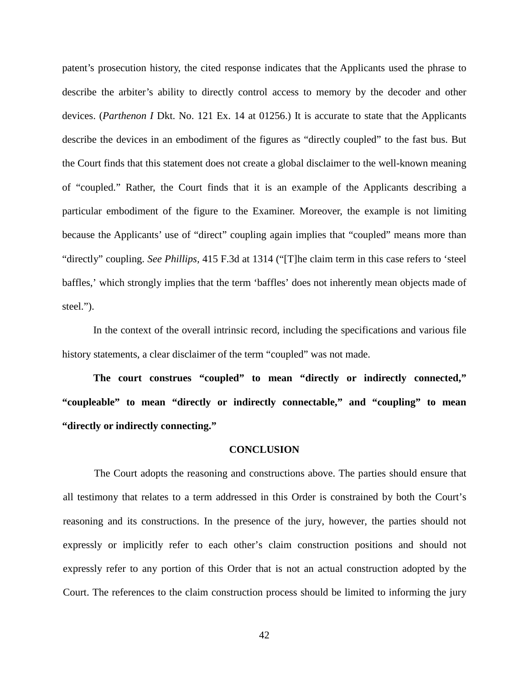patent's prosecution history, the cited response indicates that the Applicants used the phrase to describe the arbiter's ability to directly control access to memory by the decoder and other devices. (*Parthenon I* Dkt. No. 121 Ex. 14 at 01256.) It is accurate to state that the Applicants describe the devices in an embodiment of the figures as "directly coupled" to the fast bus. But the Court finds that this statement does not create a global disclaimer to the well-known meaning of "coupled." Rather, the Court finds that it is an example of the Applicants describing a particular embodiment of the figure to the Examiner. Moreover, the example is not limiting because the Applicants' use of "direct" coupling again implies that "coupled" means more than "directly" coupling. *See Phillips,* 415 F.3d at 1314 ("[T]he claim term in this case refers to 'steel baffles,' which strongly implies that the term 'baffles' does not inherently mean objects made of steel.").

In the context of the overall intrinsic record, including the specifications and various file history statements, a clear disclaimer of the term "coupled" was not made.

**The court construes "coupled" to mean "directly or indirectly connected," "coupleable" to mean "directly or indirectly connectable," and "coupling" to mean "directly or indirectly connecting."**

#### **CONCLUSION**

The Court adopts the reasoning and constructions above. The parties should ensure that all testimony that relates to a term addressed in this Order is constrained by both the Court's reasoning and its constructions. In the presence of the jury, however, the parties should not expressly or implicitly refer to each other's claim construction positions and should not expressly refer to any portion of this Order that is not an actual construction adopted by the Court. The references to the claim construction process should be limited to informing the jury